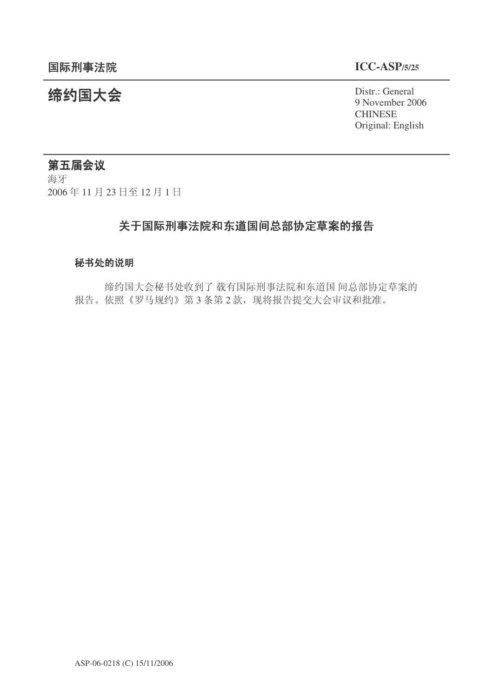9 November 2006 **CHINESE** Original: English

# 统约国大会 Pistra Distraction of the District General

# 第五届会议

海牙 2006年11月23日至12月1日

## 关于国际刑事法院和东道国间总部协定草案的报告

### 秘书处的说明

缔约国大会秘书处收到了载有国际刑事法院和东道国 间总部协定草案的 报告。依照《罗马规约》第3条第2款, 现将报告提交大会审议和批准。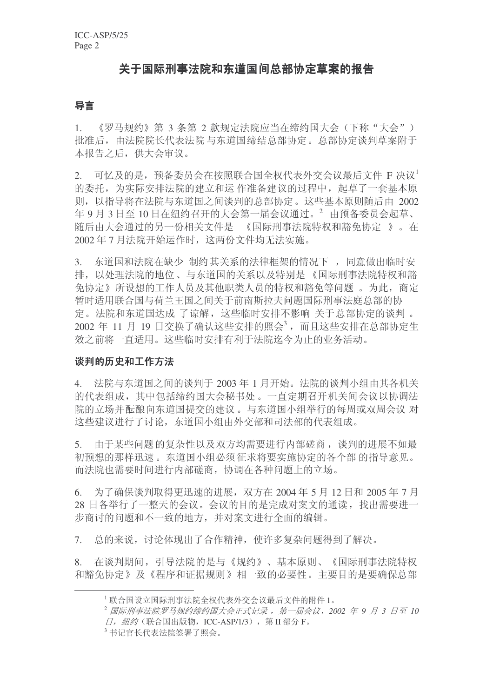### 关于国际刑事法院和东道国间总部协定草案的报告

### 导言

1. 《罗马规约》第 3 条第 2 款规定法院应当在缔约国大会(下称"大会") 批准后, 由法院院长代表法院 与东道国缔结总部协定。总部协定谈判草案附于 本报告之后, 供大会审议。

 $2.$  可忆及的是, 预备委员会在按照联合国全权代表外交会议最后文件 F 决议 的委托,为实际安排法院的建立和运作准备建议的过程中,起草了一套基本原 则, 以指导将在法院与东道国之间谈判的总部协定。这些基本原则随后由 2002 年9月3日至10日在纽约召开的大会第一届会议通过。<sup>2</sup> 由预备委员会起草、 随后由大会通过的另一份相关文件是 《国际刑事法院特权和豁免协定 》。在 2002年7月法院开始运作时,这两份文件均无法实施。

3. 东道国和法院在缺少 制约其关系的法律框架的情况下, 同意做出临时安 排, 以处理法院的地位、与东道国的关系以及特别是《国际刑事法院特权和豁 免协定》所设想的工作人员及其他职类人员的特权和豁免等问题。为此, 商定 暂时适用联合国与荷兰王国之间关于前南斯拉夫问题国际刑事法庭总部的协 定。法院和东道国达成 了谅解, 这些临时安排不影响 关于总部协定的谈判 。 2002 年 11 月 19 日交换了确认这些安排的照会<sup>3</sup>, 而且这些安排在总部协定生 效之前将一直适用。这些临时安排有利于法院迄今为止的业务活动。

### 谈判的历史和工作方法

4. 法院与东道国之间的谈判于 2003 年 1 月开始。法院的谈判小组由其各机关 的代表组成, 其中包括缔约国大会秘书处。一直定期召开机关间会议以协调法 院的立场并酝酿向东道国提交的建议。与东道国小组举行的每周或双周会议 对 这些建议讲行了讨论, 东道国小组由外交部和司法部的代表组成。

5. 由于某些问题的复杂性以及双方均需要讲行内部磋商, 谈判的讲展不如最 初预想的那样迅速。东道国小组必须征求将要实施协定的各个部 的指导意见。 而法院也需要时间进行内部磋商,协调在各种问题上的立场。

 $6.$  为了确保谈判取得更迅速的进展, 双方在 2004 年 5 月 12 日和 2005 年 7 月 28 日各举行了一整天的会议。会议的目的是完成对案文的通读, 找出需要讲一 步商讨的问题和不一致的地方,并对案文进行全面的编辑。

7. 总的来说, 讨论体现出了合作精神, 使许多复杂问题得到了解决。

8. 在谈判期间, 引导法院的是与《规约》、基本原则、《国际刑事法院特权 和豁免协定》及《程序和证据规则》相一致的必要性。主要目的是要确保总部

<sup>1</sup> 联合国设立国际刑事法院全权代表外交会议最后文件的附件 1。

<sup>&</sup>lt;sup>2</sup> 国际刑事法院罗马规约缔约国大会正式记录, 第一届会议, 2002 年 9 月 3 日至 10 日, 纽约 (联合国出版物, ICC-ASP/1/3), 第 II 部分 F。

<sup>3</sup> 书记官长代表法院签署了照会。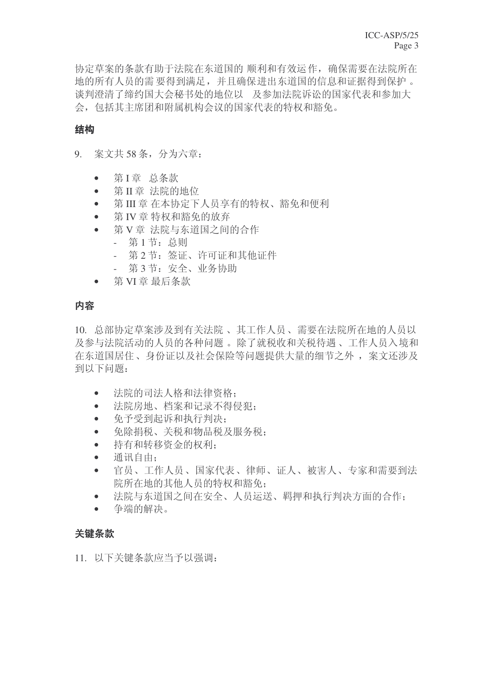协定草案的条款有助于法院在东道国的 顺利和有效运作, 确保需要在法院所在 地的所有人员的需要得到满足,并且确保讲出东道国的信息和证据得到保护。 谈判澄清了缔约国大会秘书处的地位以 及参加法院诉讼的国家代表和参加大 会, 包括其主席团和附属机构会议的国家代表的特权和豁免。

### 结构

9. 案文共 58 条, 分为六章:

- 第I章 总条款
- 第Ⅱ章 法院的地位
- 第III 章 在本协定下人员享有的特权、豁免和便利
- 第 IV 章 特权和豁免的放弃
- 第V章 法院与东道国之间的合作
	- 第1节: 总则
	- 第2节: 签证、许可证和其他证件
	- 第3节: 安全、业务协助
- $\bullet$  第 VI 章 最后条款

### 内容

10. 总部协定草案涉及到有关法院、其工作人员、需要在法院所在地的人员以 及参与法院活动的人员的各种问题。除了就税收和关税待遇、工作人员入境和 在东道国居住、身份证以及社会保险等问题提供大量的细节之外, 案文还涉及 到以下问题:

- 法院的司法人格和法律资格:
- 法院房地、档案和记录不得侵犯:
- 免予受到起诉和执行判决:
- 免除捐税、关税和物品税及服务税:
- 持有和转移资金的权利:
- 通讯自由:
- 官员、工作人员、国家代表、律师、证人、被害人、专家和需要到法 院所在地的其他人员的特权和豁免:
- 法院与东道国之间在安全、人员运送、羁押和执行判决方面的合作:
- 争端的解决。

### 关键条款

11. 以下关键条款应当予以强调: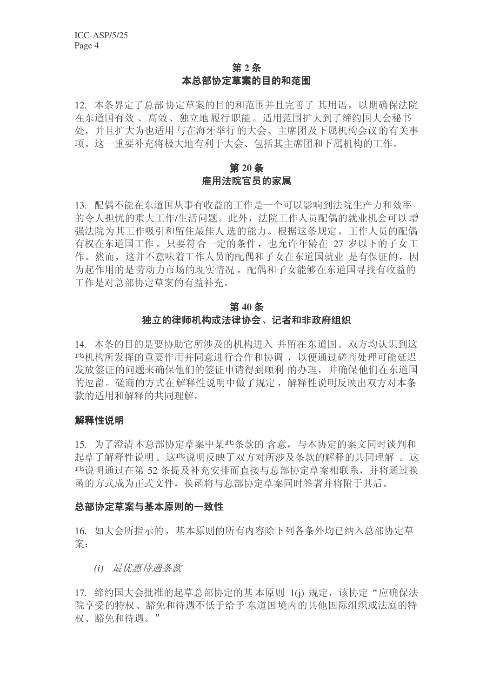### 第2条 本总部协定草案的目的和范围

12. 本条界定了总部协定草案的目的和范围并且完善了其用语,以期确保法院 在东道国有效、高效、独立地履行职能。适用范围扩大到了缔约国大会秘书 处,并且扩大为也适用与在海牙举行的大会、主席团及下属机构会议的有关事 项。这一重要补充将极大地有利于大会、包括其主席团和下属机构的工作。

### 第20条 雇用法院官员的家属

13. 配偶不能在东道国从事有收益的工作是一个可以影响到法院生产力和效率 的令人担忧的重大工作/生活问题。此外, 法院工作人员配偶的就业机会可以增 强法院为其工作吸引和留住最佳人选的能力。根据这条规定,工作人员的配偶 有权在东道国工作。只要符合一定的条件, 也允许年龄在 27 岁以下的子女工 作。然而, 这并不意味着工作人员的配偶和子女在东道国就业 是有保证的, 因 为起作用的是劳动力市场的现实情况。配偶和子女能够在东道国寻找有收益的 工作是对总部协定草案的有益补充。

### 第40条 独立的律师机构或法律协会、记者和非政府组织

14. 本条的目的是要协助它所涉及的机构进入 并留在东道国。双方均认识到这 些机构所发挥的重要作用并同意进行合作和协调, 以便通过磋商处理可能延迟 发放签证的问题来确保他们的签证申请得到顺利 的办理, 并确保他们在东道国 的逗留。磋商的方式在解释性说明中做了规定,解释性说明反映出双方对本条 款的话用和解释的共同理解。

### 解释性说明

15. 为了澄清本总部协定草案中某些条款的含意, 与本协定的案文同时谈判和 起草了解释性说明。这些说明反映了双方对所涉及条款的解释的共同理解 。这 些说明通过在第52 条提及补充安排而直接与总部协定草案相联系, 并将通过换 函的方式成为正式文件, 换函将与总部协定草案同时签署并将附于其后。

### 总部协定草案与基本原则的一致性

16. 如大会所指示的, 基本原则的所有内容除下列各条外均已纳入总部协定草 案:

(i) 最优惠待遇条款

17. 缔约国大会批准的起草总部协定的基本原则 1(j) 规定, 该协定"应确保法 院享受的特权、豁免和待遇不低于给予东道国境内的其他国际组织或法庭的特 权、豁免和待遇。"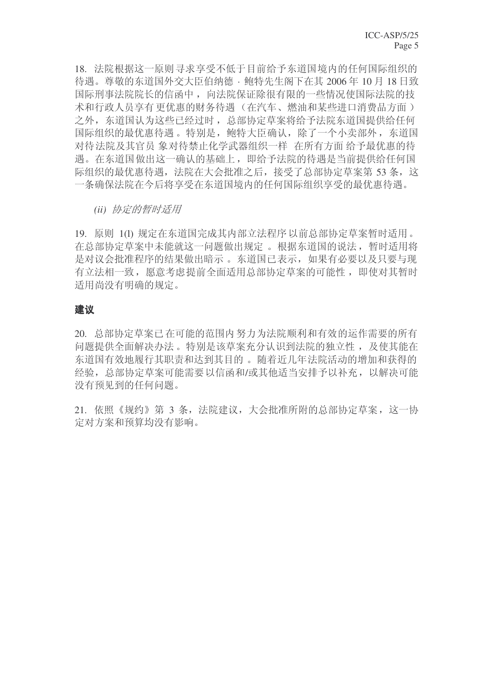18. 法院根据这一原则寻求享受不低于目前给予东道国境内的任何国际组织的 待遇。尊敬的东道国外交大臣伯纳德 · 鲍特先生阁下在其 2006年10月18日致 国际刑事法院院长的信函中, 向法院保证除很有限的一些情况使国际法院的技 术和行政人员享有更优惠的财务待遇(在汽车、燃油和某些进口消费品方面) 之外, 东道国认为这些已经过时, 总部协定草案将给予法院东道国提供给任何 国际组织的最优惠待遇。特别是,鲍特大臣确认,除了一个小卖部外,东道国 对待法院及其官员 象对待禁止化学武器组织一样 在所有方面 给予最优惠的待 遇。在东道国做出这一确认的基础上, 即给予法院的待遇是当前提供给任何国 际组织的最优惠待遇, 法院在大会批准之后, 接受了总部协定草案第 53 条, 这 一条确保法院在今后将享受在东道国境内的任何国际组织享受的最优惠待遇。

*(ii)* 协定的暂时适用

19. 原则 1(l) 规定在东道国完成其内部立法程序以前总部协定草案暂时适用。 在总部协定草案中未能就这一问题做出规定。根据东道国的说法,暂时适用将 是对议会批准程序的结果做出暗示。东道国已表示,如果有必要以及只要与现 有立法相一致, 愿意考虑提前全面适用总部协定草案的可能性, 即使对其暂时 适用尚没有明确的规定。

### 建议

20. 总部协定草案已在可能的范围内努力为法院顺利和有效的运作需要的所有 问题提供全面解决办法。特别是该草案充分认识到法院的独立性, 及使其能在 东道国有效地履行其职责和达到其目的。 随着近几年法院活动的增加和获得的 经验,总部协定草案可能需要以信函和/或其他适当安排予以补充,以解决可能 没有预见到的任何问题。

21. 依照《规约》第 3 条, 法院建议, 大会批准所附的总部协定草案, 这一协 定对方案和预算均没有影响。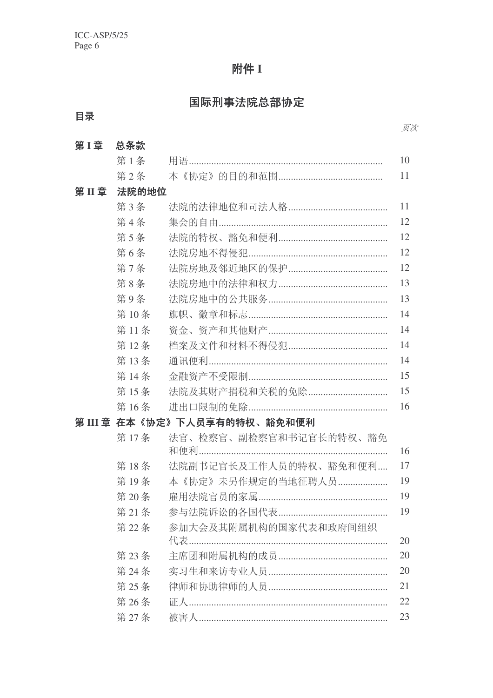# 附件 I

# 国际刑事法院总部协定

# 目录

| 第1章  | 总条款    |                               |    |
|------|--------|-------------------------------|----|
|      | 第1条    |                               | 10 |
|      | 第2条    |                               | 11 |
| 第II章 | 法院的地位  |                               |    |
|      | 第3条    |                               | 11 |
|      | 第4条    |                               | 12 |
|      | 第5条    |                               | 12 |
|      | 第6条    |                               | 12 |
|      | 第7条    |                               | 12 |
|      | 第8条    |                               | 13 |
|      | 第9条    |                               | 13 |
|      | 第10条   |                               | 14 |
|      | 第11条   |                               | 14 |
|      | 第12条   |                               | 14 |
|      | 第13条   |                               | 14 |
|      | 第14条   |                               | 15 |
|      | 第15条   | 法院及其财产捐税和关税的免除                | 15 |
|      | 第16条   |                               | 16 |
|      |        | 第 III 章  在本《协定》下人员享有的特权、豁免和便利 |    |
|      | 第17条   | 法官、检察官、副检察官和书记官长的特权、豁免        | 16 |
|      | 第18条   | 法院副书记官长及工作人员的特权、豁免和便利         | 17 |
|      | 第19条   | 本《协定》未另作规定的当地征聘人员             | 19 |
|      | 第20条   |                               | 19 |
|      | 第21条   |                               | 19 |
|      | 第22条   | 参加大会及其附属机构的国家代表和政府间组织         |    |
|      |        |                               | 20 |
|      | 第23条   |                               | 20 |
|      | 第 24 条 |                               | 20 |
|      | 第 25 条 |                               | 21 |
|      | 第26条   |                               | 22 |
|      | 第27条   |                               | 23 |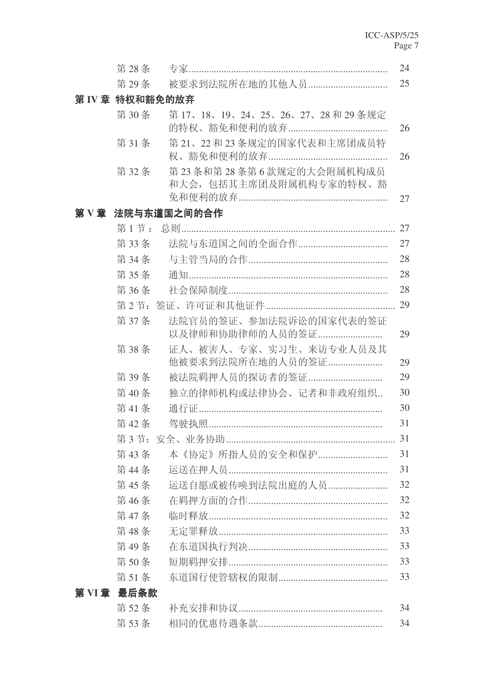| 第28条        |                                                   | 24 |
|-------------|---------------------------------------------------|----|
| 第29条        | 被要求到法院所在地的其他人员                                    | 25 |
|             | 第 IV 章 特权和豁免的放弃                                   |    |
| 第30条        | 第17、18、19、24、25、26、27、28和29条规定                    | 26 |
| 第31条        | 第21、22和23条规定的国家代表和主席团成员特                          | 26 |
| 第32条        | 第23条和第28条第6款规定的大会附属机构成员<br>和大会,包括其主席团及附属机构专家的特权、豁 | 27 |
|             | 第 V 章 法院与东道国之间的合作                                 |    |
| 第1节:        |                                                   | 27 |
| 第33条        |                                                   | 27 |
| 第 34条       |                                                   | 28 |
| 第35条        |                                                   | 28 |
| 第36条        |                                                   | 28 |
| 第2节:        |                                                   | 29 |
| 第37条        | 法院官员的签证、参加法院诉讼的国家代表的签证<br>以及律师和协助律师的人员的签证         | 29 |
| 第38条        | 证人、被害人、专家、实习生、来访专业人员及其<br>他被要求到法院所在地的人员的签证        | 29 |
| 第39条        | 被法院羁押人员的探访者的签证                                    | 29 |
| 第40条        | 独立的律师机构或法律协会、记者和非政府组织                             | 30 |
| 第41条        |                                                   | 30 |
| 第42条        |                                                   | 31 |
|             |                                                   | 31 |
| 第43条        | 本《协定》所指人员的安全和保护                                   | 31 |
| 第44条        |                                                   | 31 |
| 第45条        | 运送自愿或被传唤到法院出庭的人员                                  | 32 |
| 第46条        |                                                   | 32 |
| 第47条        |                                                   | 32 |
| 第48条        |                                                   | 33 |
| 第49条        |                                                   | 33 |
| 第50条        |                                                   | 33 |
| 第51条        |                                                   | 33 |
| 第 VI 章 最后条款 |                                                   |    |
| 第52条        |                                                   | 34 |
| 第53条        |                                                   | 34 |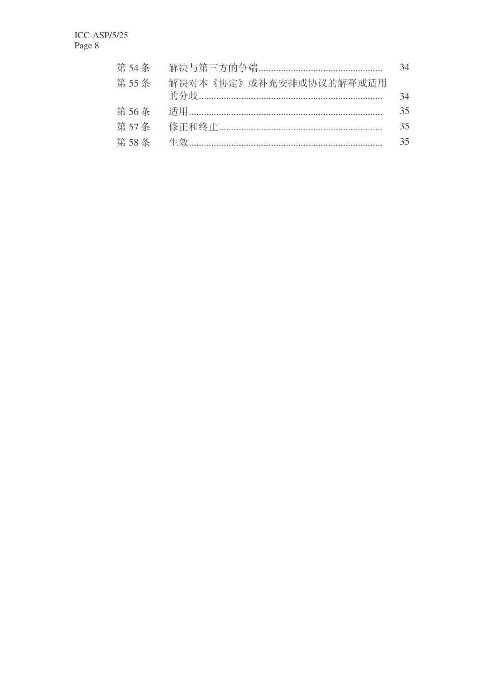|                                | 34 |
|--------------------------------|----|
| 第55条<br>解决对本《协定》或补充安排或协议的解释或适用 |    |
|                                | 34 |
|                                | 35 |
|                                | 35 |
|                                | 35 |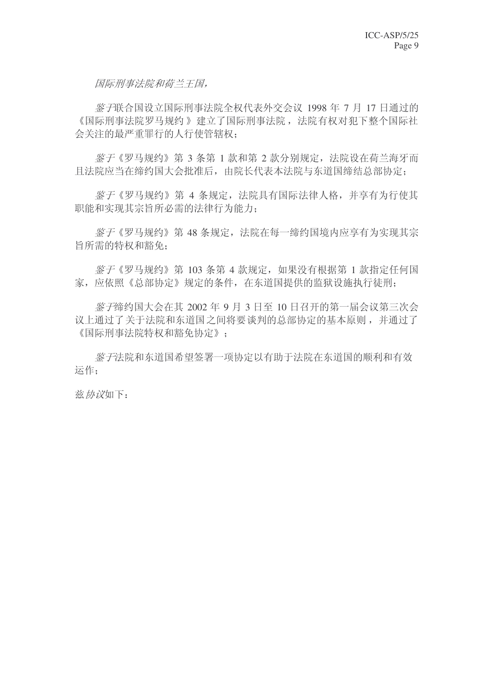国际刑事法院和荷兰王国。

鉴 于联合国设立国际刑事法院全权代表外交会议 1998 年 7 月 17 日通过的 《国际刑事法院罗马规约》建立了国际刑事法院, 法院有权对犯下整个国际社 会关注的最严重罪行的人行使管辖权:

鉴于《罗马规约》第 3 条第 1 款和第 2 款分别规定, 法院设在荷兰海牙而 且法院应当在缔约国大会批准后,由院长代表本法院与东道国缔结总部协定;

姿子《罗马规约》第 4 条规定, 法院具有国际法律人格, 并享有为行使其 职能和实现其宗旨所必需的法律行为能力;

姿子《罗马规约》第48 条规定, 法院在每一缔约国境内应享有为实现其宗 旨所需的特权和豁免:

 $\frac{1}{2}$ 字《罗马规约》第 103 条第 4 款规定, 如果没有根据第 1 款指定任何国 家, 应依照《总部协定》规定的条件, 在东道国提供的监狱设施执行徒刑;

 $\frac{1}{2}$ 字缔约国大会在其 2002 年 9 月 3 日至 10 日召开的第一届会议第三次会 议上通过了关于法院和东道国之间将要谈判的总部协定的基本原则, 并通过了 《国际刑事法院特权和豁免协定》:

**签于法院和东道国希望签署一项协定以有助于法院在东道国的顺利和有效** 运作:

兹协议如下: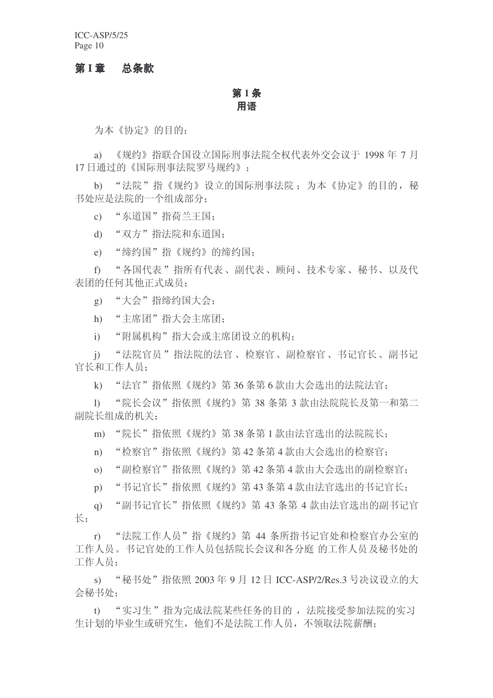ICC-ASP/5/25 Page 10

### 第1章 总条款

### 第 $1$ 条 用语

为本《协定》的目的:

a) 《规约》指联合国设立国际刑事法院全权代表外交会议于 1998 年 7 月 17 日通过的《国际刑事法院罗马规约》:

b) "法院"指《规约》设立的国际刑事法院; 为本《协定》的目的, 秘 书处应是法院的一个组成部分:

c) "东道国"指荷兰王国:

d) "双方"指法院和东道国:

e) "缔约国"指《规约》的缔约国:

f) "各国代表"指所有代表、副代表、顾问、技术专家、秘书、以及代 表团的任何其他正式成员:

g) "大会"指缔约国大会;

h) "主席团"指大会主席团:

i) "附属机构"指大会或主席团设立的机构:

j) "法院官员"指法院的法官、检察官、副检察官、书记官长、副书记 官长和工作人员:

k) "法官"指依照《规约》第36条第6款由大会选出的法院法官:

l) "院长会议"指依照《规约》第 38 条第 3 款由法院院长及第一和第二 副院长组成的机关:

m) "院长"指依照《规约》第38条第1款由法官选出的法院院长:

n) "检察官"指依照《规约》第42条第4款由大会选出的检察官:

o) "副检察官"指依照《规约》第42条第4款由大会选出的副检察官:

p) "书记官长"指依照《规约》第43条第4款由法官选出的书记官长:

q) "副书记官长"指依照《规约》第43条第4款由法官选出的副书记官  $\mathcal{L}_{\cdot}$ 

r) "法院工作人员"指《规约》第 44 条所指书记官处和检察官办公室的 工作人员。书记官处的工作人员包括院长会议和各分庭 的工作人员及秘书处的 工作人员:

s) "秘书处"指依照 2003 年 9 月 12 日 ICC-ASP/2/Res.3 号决议设立的大 会秘书处:

t) "实习生"指为完成法院某些任务的目的, 法院接受参加法院的实习 生计划的毕业生或研究生, 他们不是法院工作人员, 不领取法院薪酬;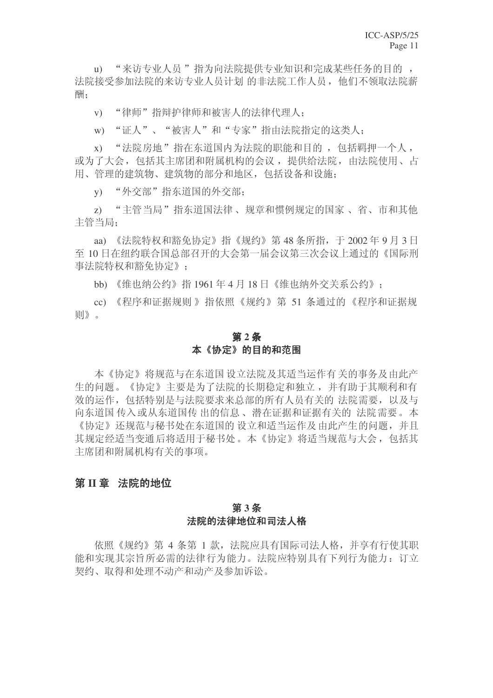u) "来访专业人员"指为向法院提供专业知识和完成某些任务的目的, 法院接受参加法院的来访专业人员计划 的非法院工作人员, 他们不领取法院薪 酬;

v) "律师"指辩护律师和被害人的法律代理人;

w) "证人"、"被害人"和"专家"指由法院指定的这类人:

x) "法院房地"指在东道国内为法院的职能和目的, 包括羁押一个人, 或为了大会,包括其主席团和附属机构的会议,提供给法院,由法院使用、占 用、管理的建筑物、建筑物的部分和地区,包括设备和设施;

v) "外交部"指东道国的外交部:

z) "主管当局"指东道国法律、规章和惯例规定的国家、省、市和其他 主管当局;

aa) 《法院特权和豁免协定》指《规约》第48条所指, 于2002年9月3日 至 10 日在纽约联合国总部召开的大会第一届会议第三次会议上通过的《国际刑 事法院特权和豁免协定》:

bb) 《维也纳公约》指1961年4月18日《维也纳外交关系公约》:

cc) 《程序和证据规则 》指依照《规约》第 51 条通过的 《程序和证据规 则》。

### 第2条 本《协定》的目的和范围

本《协定》将规范与在东道国 设立法院及其适当运作有 关的事务及 由此产 生的问题。《协定》主要是为了法院的长期稳定和独立, 并有助于其顺利和有 效的运作, 包括特别是与法院要求来总部的所有人员有关的 法院需要, 以及与 向东道国传入或从东道国传 出的信息、潜在证据和证据有关的 法院需要。本 《协定》还规范与秘书处在东道国的设立和适当运作及由此产生的问题,并且 其规定经适当变通后将适用于秘书处。本《协定》将适当规范与大会, 包括其 主席团和附属机构有关的事项。

### 第Ⅱ章 法院的地位

### 第3条 法院的法律地位和司法人格

依照《规约》第 4 条第 1 款, 法院应具有国际司法人格, 并享有行使其职 能和实现其宗旨所必需的法律行为能力。法院应特别具有下列行为能力: 订立 契约、取得和处理不动产和动产及参加诉讼。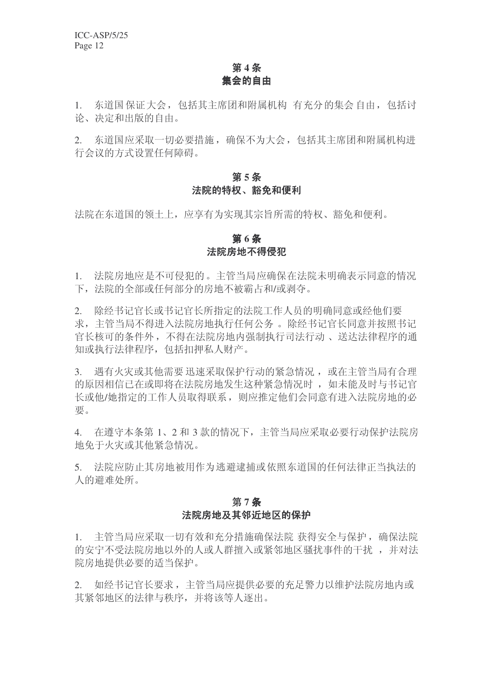### 第4条 集会的自由

1. 东道国保证大会, 包括其主席团和附属机构 有充分的集会自由, 包括讨 论、决定和出版的自由。

2. 东道国应采取一切必要措施,确保不为大会,包括其主席团和附属机构进 行会议的方式设置任何障碍。

### 第5条 法院的特权、豁免和便利

法院在东道国的领土上,应享有为实现其宗旨所需的特权、豁免和便利。

### 第6条 法院房地不得侵犯

1. 法院房地应是不可侵犯的。主管当局应确保在法院未明确表示同意的情况 下, 法院的全部或任何部分的房地不被霸占和/或剥夺。

2. 除经书记官长或书记官长所指定的法院工作人员的明确同意或经他们要 求, 主管当局不得进入法院房地执行任何公务 。 除经书记官长同意并按照书记 官长核可的条件外,不得在法院房地内强制执行司法行动、送达法律程序的通 知或执行法律程序, 包括扣押私人财产。

3. 遇有火灾或其他需要迅速采取保护行动的紧急情况, 或在主管当局有合理 的原因相信已在或即将在法院房地发生这种紧急情况时, 如未能及时与书记官 长或他/她指定的工作人员取得联系, 则应推定他们会同意有进入法院房地的必 要。

4. 在遵守本条第1、2和3款的情况下,主管当局应采取必要行动保护法院房 地免于火灾或其他紧急情况。

5. 法院应防止其房地被用作为逃避逮捕或依照东道国的任何法律正当执法的 人的避难处所。

### 第7条 法院房地及其邻近地区的保护

1. 主管当局应采取一切有效和充分措施确保法院 获得安全与保护,确保法院 的安宁不受法院房地以外的人或人群擅入或紧邻地区骚扰事件的干扰,并对法 院房地提供必要的活当保护。

2. 如经书记官长要求, 主管当局应提供必要的充足警力以维护法院房地内或 其紧邻地区的法律与秩序,并将该等人逐出。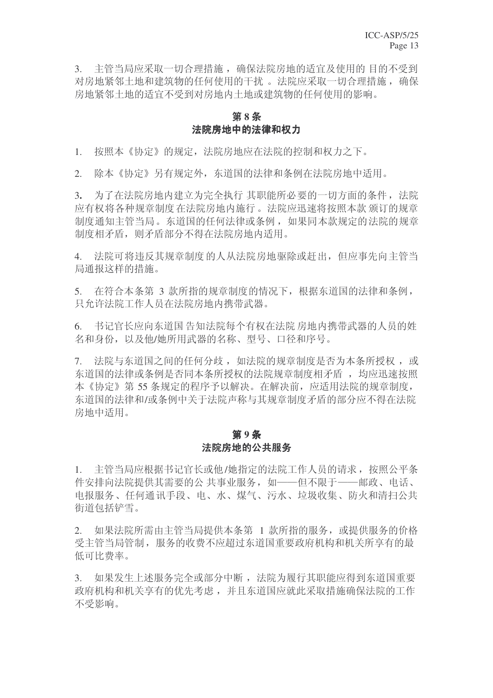3. 主管当局应采取一切合理措施, 确保法院房地的适宜及使用的目的不受到 对房地紧邻土地和建筑物的任何使用的干扰。 法院应采取一切合理措施, 确保 房地紧邻土地的适宜不受到对房地内土地或建筑物的任何使用的影响。

### 第8条 法院房地中的法律和权力

1. 按照本《协定》的规定, 法院房地应在法院的控制和权力之下。

2. 除本《协定》另有规定外,东道国的法律和条例在法院房地中适用。

3. 为了在法院房地内建立为完全执行 其职能所必要的一切方面的条件, 法院 应有权将各种规章制度 在法院房地内施行。法院应迅速将按照本款 颁订的规章 制度通知主管当局。东道国的任何法律或条例, 如果同本款规定的法院的规章 制度相矛盾, 则矛盾部分不得在法院房地内适用。

4. 法院可将违反其规章制度的人从法院房地驱除或赶出, 但应事先向主管当 局通报这样的措施。

5. 在符合本条第 3 款所指的规章制度的情况下,根据东道国的法律和条例, 只允许法院工作人员在法院房地内携带武器。

6. 书记官长应向东道国告知法院每个有权在法院 房地内携带武器的人员的姓 名和身份, 以及他/她所用武器的名称、型号、口径和序号。

7. 法院与东道国之间的任何分歧, 如法院的规章制度是否为本条所授权, 或 东道国的法律或条例是否同本条所授权的法院规章制度相矛盾, 均应迅速按照 本《协定》第55条规定的程序予以解决。在解决前,应适用法院的规章制度, 东道国的法律和/或条例中关于法院声称与其规章制度矛盾的部分应不得在法院 房地中适用。

### 第9条 法院房地的公共服务

1. 主管当局应根据书记官长或他/她指定的法院工作人员的请求, 按照公平条 件安排向法院提供其需要的公共事业服务,如--但不限于--邮政、电话、 电报服务、任何通讯手段、电、水、煤气、污水、垃圾收集、防火和清扫公共 衔道句括铲雪。

2. 如果法院所需由主管当局提供本条第 1 款所指的服务, 或提供服务的价格 受主管当局管制, 服务的收费不应超过东道国重要政府机构和机关所享有的最 低可比费率。

3. 如果发生上述服务完全或部分中断, 法院为履行其职能应得到东道国重要 政府机构和机关享有的优先考虑,并且东道国应就此采取措施确保法院的工作 不受影响。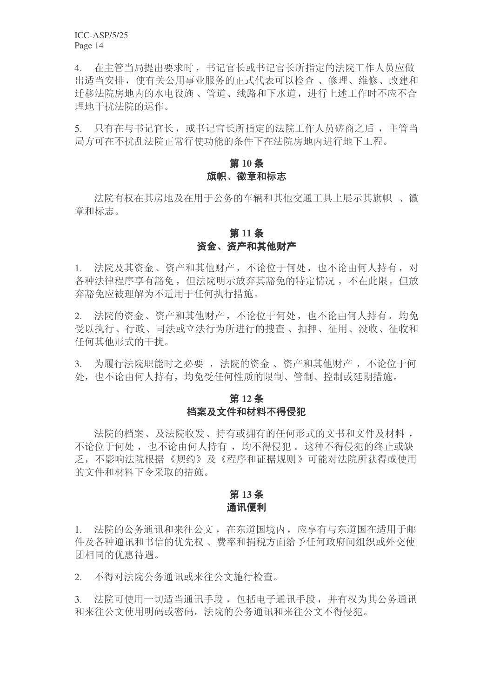ICC-ASP/5/25 Page 14

4. 在主管当局提出要求时, 书记官长或书记官长所指定的法院工作人员应做 出话当安排, 使有关公用事业服务的正式代表可以检查、修理、维修、改建和 迁移法院房地内的水电设施、管道、线路和下水道, 进行上述工作时不应不合 理地干扰法院的运作。

5. 只有在与书记官长,或书记官长所指定的法院工作人员磋商之后,主管当 局方可在不扰乱法院正常行使功能的条件下在法院房地内进行地下工程。

### 第10条 旗帜、徽章和标志

法院有权在其房地及在用于公务的车辆和其他交通工具上展示其旗帜 、徽 章和标志。

### 第11条 资金、资产和其他财产

1. 法院及其资金、资产和其他财产,不论位于何处,也不论由何人持有,对 各种法律程序享有豁免, 但法院明示放弃其豁免的特定情况, 不在此限。但放 弃豁免应被理解为不适用于任何执行措施。

2. 法院的资金、资产和其他财产,不论位于何处,也不论由何人持有,均免 受以执行、行政、司法或立法行为所进行的搜查、扣押、征用、没收、征收和 任何其他形式的干扰。

3. 为履行法院职能时之必要, 法院的资金、资产和其他财产, 不论位于何 处, 也不论由何人持有, 均免受任何性质的限制、管制、控制或延期措施。

### 第12条 档案及文件和材料不得侵犯

法院的档案、及法院收发、持有或拥有的任何形式的文书和文件及材料, 不论位于何处,也不论由何人持有,均不得侵犯。这种不得侵犯的终止或缺 乏,不影响法院根据《规约》及《程序和证据规则》可能对法院所获得或使用 的文件和材料下令采取的措施。

### 第13条 通讯便利

1. 法院的公务通讯和来往公文, 在东道国境内, 应享有与东道国在适用于邮 件及各种通讯和书信的优先权、费率和捐税方面给予任何政府间组织或外交使 团相同的优惠待遇。

2. 不得对法院公务通讯或来往公文施行检查。

3. 法院可使用一切适当通讯手段, 包括电子通讯手段, 并有权为其公务通讯 和来往公文使用明码或密码。法院的公务通讯和来往公文不得侵犯。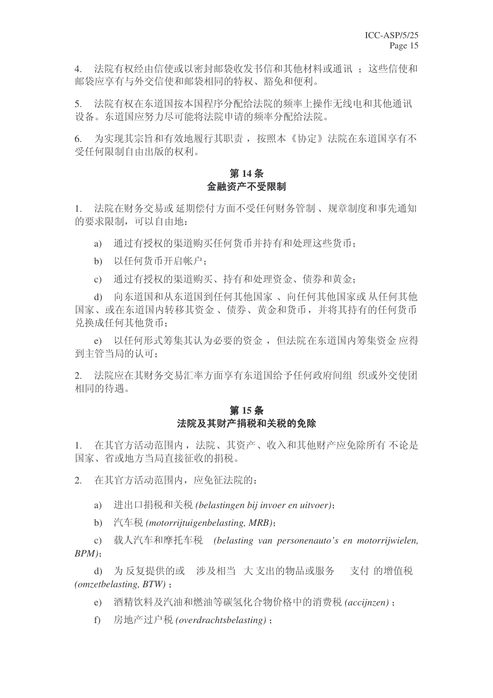4. 法院有权经由信使或以密封邮袋收发书信和其他材料或通讯: 这些信使和 邮袋应享有与外交信使和邮袋相同的特权、豁免和便利。

5. 法院有权在东道国按本国程序分配给法院的频率上操作无线电和其他通讯 设备。东道国应努力尽可能将法院申请的频率分配给法院。

6. 为实现其宗旨和有效地履行其职责, 按照本《协定》法院在东道国享有不 受任何限制自由出版的权利。

### 第14条 金融资产不受限制

1. 法院在财务交易或 延期偿付方面不受任何财务管制、规章制度和事先通知 的要求限制,可以自由地:

a) 通过有授权的渠道购买任何货币并持有和处理这些货币:

b) 以仟何货币开启帐户:

c) 通过有授权的渠道购买、持有和处理资金、债券和黄金;

d) 向东道国和从东道国到任何其他国家、向任何其他国家或从任何其他 国家、或在东道国内转移其资金、债券、黄金和货币, 并将其持有的任何货币 兑换成任何其他货币:

e) 以任何形式筹集其认为必要的资金, 但法院在东道国内筹集资金 应得 到主管当局的认可:

2. 法院应在其财务交易汇率方面享有东道国给予任何政府间组 织或外交使团 相同的待遇。

### 第15条 法院及其财产捐税和关税的免除

1. 在其官方活动范围内, 法院、其资产、收入和其他财产应免除所有不论是 国家、省或地方当局直接征收的捐税。

2. 在其官方活动范围内, 应免征法院的:

a) 进出口捐税和关税 (belastingen bij invoer en uitvoer);

b) 汽车税 (motorrijtuigenbelasting, MRB);

c) 䕑Ҏ≑䔺ᨽᠬ䔺 *(belasting van personenauto's en motorrijwielen,*  $BPM$ ):

d) 为反复提供的或 涉及相当 大支出的物品或服务 支付 的增值税  $(omzetbelasting, BTW)$ :

e) 酒精饮料及汽油和燃油等碳氢化合物价格中的消费税 (accijnzen) :

f) 房地产过户税 (overdrachtsbelasting) :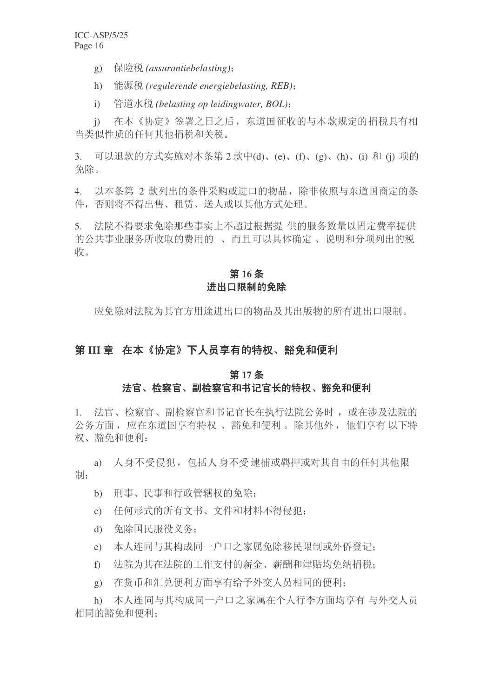- g) 保险税 (assurantiebelasting);
- h) 能源税 (regulerende energiebelasting, REB);
- i) 管道水税 (belasting op leidingwater, BOL);

j) 在本《协定》签署之日之后, 东道国征收的与本款规定的捐税具有相 当类似性质的任何其他捐税和关税。

3. 可以退款的方式实施对本条第 2 款中(d)、(e)、(f)、(g)、(h)、(i) 和(j) 项的 免除。

4. 以本条第 2 款列出的条件采购或进口的物品, 除非依照与东道国商定的条 件,否则将不得出售、租赁、送人或以其他方式处理。

5. 法院不得要求免除那些事实上不超过根据提供的服务数量以固定费率提供 的公共事业服务所收取的费用的、而且可以具体确定、说明和分项列出的税 收。

### 第16条 进出口限制的免除

应免除对法院为其官方用途进出口的物品及其出版物的所有进出口限制。

### 第III 章 在本《协定》下人员享有的特权、豁免和便利

#### 第17条

### 法官、检察官、副检察官和书记官长的特权、豁免和便利

1. 法官、检察官、副检察官和书记官长在执行法院公务时, 或在涉及法院的 公务方面, 应在东道国享有特权、豁免和便利。除其他外, 他们享有以下特 权、豁免和便利:

a) 人身不受侵犯, 包括人身不受逮捕或羁押或对其自由的任何其他限 制:

- b) 刑事、民事和行政管辖权的免除:
- c) 任何形式的所有文书、文件和材料不得侵犯:
- d) 免除国民服役义务;
- e) 本人连同与其构成同一户口之家属免除移民限制或外侨登记:
- f) 法院为其在法院的工作支付的薪金、薪酬和津贴均免纳捐税;
- g) 在货币和汇兑便利方面享有给予外交人员相同的便利;

h) 本人连同与其构成同一户口之家属在个人行李方面均享有 与外交人员 相同的豁免和便利: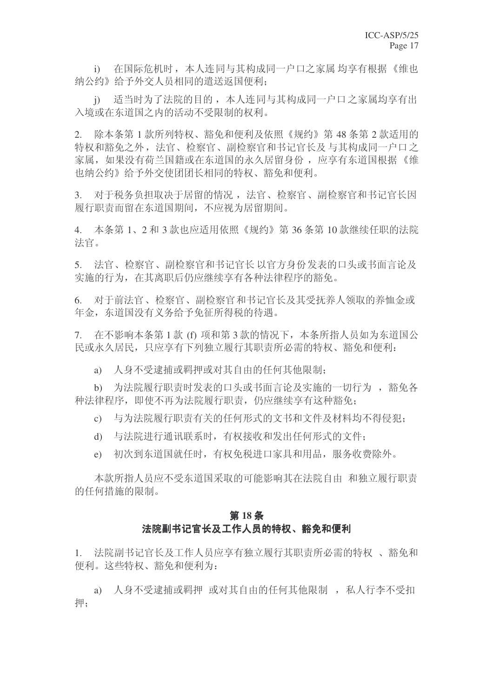i) 存国际危机时, 本人连同与其构成同一户口之家属 均享有根据《维也 纳公约》给予外交人员相同的遣送返国便利:

j) 适当时为了法院的目的,本人连同与其构成同一户口之家属均享有出 入境或在东道国之内的活动不受限制的权利。

2. 除本条第1款所列特权、豁免和便利及依照《规约》第48条第2款活用的 特权和豁免之外, 法官、检察官、副检察官和书记官长及与其构成同一户口之 家属, 如果没有荷兰国籍或在东道国的永久居留身份, 应享有东道国根据《维 也纳公约》给予外交使团团长相同的特权、豁免和便利。

3. 对于税务负担取决于居留的情况, 法官、检察官、副检察官和书记官长因 履行职责而留在东道国期间,不应视为居留期间。

4. 本条第 1、2 和 3 款也应适用依照《规约》第 36 条第 10 款继续任职的法院 法官。

5. 法官、检察官、副检察官和书记官长以官方身份发表的口头或书面言论及 实施的行为, 在其离职后仍应继续享有各种法律程序的豁免。

6. 对于前法官、检察官、副检察官和书记官长及其受抚养人领取的养恤金或 年金, 东道国没有义务给予免征所得税的待遇。

7. 在不影响本条第1款 (f) 项和第3款的情况下, 本条所指人员如为东道国公 民或永久居民, 只应享有下列独立履行其职责所必需的特权、豁免和便利:

a) 人身不受逮捕或羁押或对其自由的任何其他限制;

b) 为法院履行职责时发表的口头或书面言论及实施的一切行为, 豁免各 种法律程序, 即使不再为法院履行职责, 仍应继续享有这种豁免;

c) 与为法院履行职责有关的任何形式的文书和文件及材料均不得侵犯:

- d) 与法院进行通讯联系时,有权接收和发出任何形式的文件;
- e) 初次到东道国就任时, 有权免税进口家具和用品, 服务收费除外。

本款所指人员应不受东道国采取的可能影响其在法院自由 和独立履行职责 的任何措施的限制。

#### 第18条

### 法院副书记官长及工作人员的特权、豁免和便利

1. 法院副书记官长及工作人员应享有独立履行基职责所必需的特权、豁免和 便利。这些特权、豁免和便利为:

a) 人身不受逮捕或羁押 或对其自由的任何其他限制, 私人行李不受扣 押;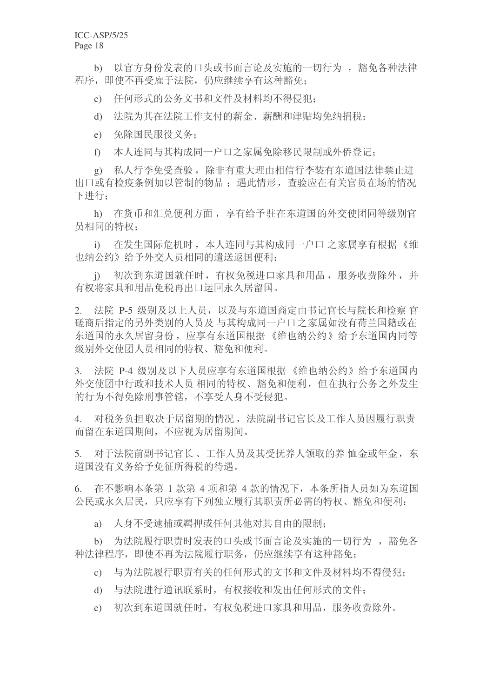b) 以官方身份发表的口头或书面言论及实施的一切行为, 豁免各种法律 程序, 即使不再受雇干法院, 仍应继续享有这种豁免:

c) 任何形式的公务文书和文件及材料均不得侵犯:

d) 法院为其在法院工作支付的薪金、薪酬和津贴均免纳捐税:

e) 免除国民服役义务:

f) 本人连同与其构成同一户口之家属免除移民限制或外侨登记:

g) 私人行李免受杳验, 除非有重大理由相信行李装有东道国法律禁止讲 出口或有检疫条例加以管制的物品: 遇此情形, 杳验应在有关官员在场的情况 下讲行:

h) 在货币和汇兑便利方面, 享有给予驻在东道国的外交使团同等级别官 员相同的特权:

i) 在发生国际危机时, 本人连同与其构成同一户口 之家属享有根据《维 也纳公约》给予外交人员相同的遣送返国便利;

i) 初次到东道国就任时, 有权免税进口家具和用品, 服务收费除外, 并 有权将家具和用品免税再出口运回永久居留国。

2. 法院 P-5 级别及以上人员, 以及与东道国商定由书记官长与院长和检察 官 磋商后指定的另外类别的人员及 与其构成同一户口之家属如没有荷兰国籍或在 东道国的永久居留身份, 应享有东道国根据《维也纳公约》给予东道国内同等 级别外交使团人员相同的特权、豁免和便利。

3. 決院 P-4 级别及以下人员应享有东道国根据《维也纳公约》给予东道国内 外交使团中行政和技术人员相同的特权、豁免和便利,但在在执行公务之外发生 的行为不得免除刑事管辖, 不享受人身不受侵犯。

4. 对税务负担取决于居留期的情况, 法院副书记官长及工作人员因履行职责 而留在东道国期间, 不应视为居留期间。

5. 对于法院前副书记官长、工作人员及其受抚养人领取的养 恤金或年金, 东 道国没有义务给予免征所得税的待遇。

 $6.$  在不影响本条第 1 款第 4 项和第 4 款的情况下, 本条所指人员如为东道国 公民或永久居民, 只应享有下列独立履行其职责所必需的特权、豁免和便利:

a) 人身不受逮捕或羁押或仟何其他对其自由的限制:

b) 为法院履行职责时发表的口头或书面言论及实施的一切行为, 豁免各 种法律程序, 即使不再为法院履行职务, 仍应继续享有这种豁免:

c) 与为法院履行职责有关的任何形式的文书和文件及材料均不得侵犯:

d) 与法院进行通讯联系时,有权接收和发出任何形式的文件;

e) 初次到东道国就任时, 有权免税进口家具和用品, 服务收费除外。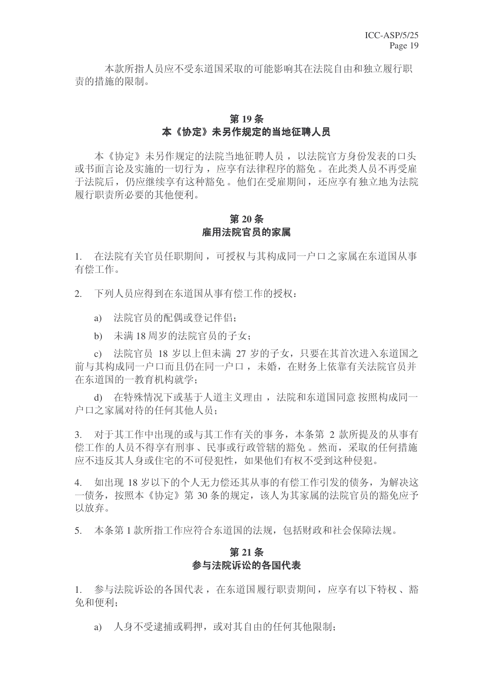本款所指人员应不受东道国采取的可能影响其在法院自由和独立履行职 壸的措施的限制。

### 第19条 本《协定》未另作规定的当地征聘人员

本《协定》未另作规定的法院当地征聘人员, 以法院官方身份发表的口头 或书面言论及实施的一切行为, 应享有法律程序的豁免。在此类人员不再受雇 干法院后, 仍应继续享有这种豁免。他们在受雇期间, 还应享有独立地为法院 履行职责所必要的其他便利。

### 第20条 雇用法院官员的家属

1. 在法院有关官员任职期间,可授权与其构成同一户口之家属在东道国从事 有偿工作。

2. 下列人员应得到在东道国从事有偿工作的授权:

- a) 法院官员的配偶或登记伴侣:
- b) 未满 18 周岁的法院官员的子女:

c) 法院官员 18 岁以上但未满 27 岁的子女, 只要在其首次进入东道国之 前与其构成同一户口而且仍在同一户口,未婚,在财务上依靠有关法院官员并 在东道国的一教育机构就学:

d) 在特殊情况下或基于人道主义理由, 法院和东道国同意 按照构成同一 户口之家属对待的任何其他人员:

3. 对于其工作中出现的或与其工作有关的事务,本条第 2 款所提及的从事有 偿工作的人员不得享有刑事、民事或行政管辖的豁免。然而, 采取的任何措施 应不违反其人身或住宅的不可侵犯性,如果他们有权不受到这种侵犯。

4. 如出现 18 岁以下的个人无力偿还其从事的有偿工作引发的债务, 为解决这 一债务, 按照本《协定》第30条的规定, 该人为其家属的法院官员的豁免应予 以放弃。

5. 本条第1款所指工作应符合东道国的法规, 包括财政和社会保障法规。

### 第21条 参与法院讼的各国代表

1. 参与法院诉讼的各国代表, 在东道国履行职责期间, 应享有以下特权、豁 免和便利:

a) 人身不受逮捕或羁押, 或对其自由的任何其他限制;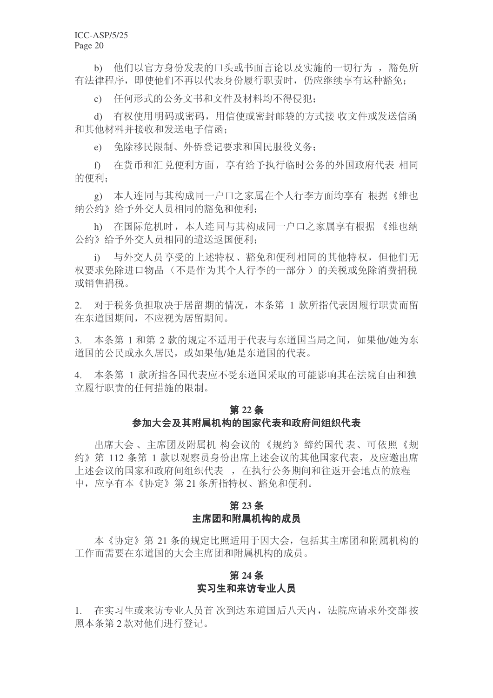b) 他们以官方身份发表的口头或书面言论以及实施的一切行为, 豁免所 右法律程序, 即使他们不再以代表身份履行职责时, 仍应继续享有这种豁免:

c) 任何形式的公务文书和文件及材料均不得侵犯:

d) 有权使用明码或密码, 用信使或密封邮袋的方式接 收文件或发送信函 和其他材料并接收和发送电子信函;

e) 免除移民限制、外侨登记要求和国民服役义务:

f) 存货币和汇兑便利方面, 享有给予执行临时公务的外国政府代表 相同 的便利:

g) 本人连同与其构成同一户口之家属在个人行李方面均享有 根据《维也 纳公约》给予外交人员相同的豁免和便利;

h) 在国际危机时, 本人连同与其构成同一户口之家属享有根据 《维也纳 公约》给予外交人员相同的遣送返国便利;

i) 与外交人员享受的上述特权、豁免和便利相同的其他特权,但他们无 权要求免除进口物品(不是作为其个人行李的一部分)的关税或免除消费捐税 或销售捐税。

2. 对于税务负担取决于居留期的情况,本条第 1 款所指代表因履行职责而留 在东道国期间,不应视为居留期间。

3. 本条第 1 和第 2 款的规定不适用于代表与东道国当局之间, 如果他/她为东 道国的公民或永久居民, 或如果他/她是东道国的代表。

4. 本条第 1 款所指各国代表应不受东道国采取的可能影响其在法院自由和独 立履行职责的任何措施的限制。

### 第22条 参加大会及其附属机构的国家代表和政府间组织代表

出席大会、主席团及附属机 构会议的《规约》缔约国代表、可依照《规 约》第112 条第 1 款以观察员身份出席上述会议的其他国家代表, 及应邀出席 上述会议的国家和政府间组织代表,在执行公务期间和往返开会地点的旅程 中, 应享有本《协定》第21条所指特权、豁免和便利。

### **23** ᴵ 主席团和附属机构的成员

本《协定》第21条的规定比照适用于因大会,包括其主席团和附属机构的 工作而需要在东道国的大会主席团和附属机构的成员。

### 第24条 实习生和来访专业人员

1. 在实习生或来访专业人员首次到达东道国后八天内, 法院应请求外交部 按 照本条第2款对他们讲行登记。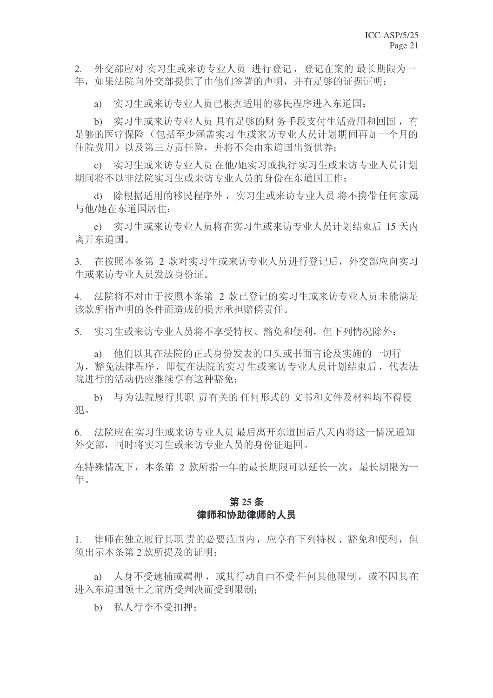2. 外交部应对 实习生或来访专业人员 进行登记, 登记在案的 最长期限为一 年,如果法院向外交部提供了由他们签署的声明,并有足够的证据证明:

a) 实习生或来访专业人员已根据适用的移民程序进入东道国:

b) 实习生或来访专业人员 具有足够的财务手段支付生活费用和回国, 有 足够的医疗保险(包括至少涵盖实习生或来访专业人员计划期间再加一个月的 住院费用)以及第三方责任险,并将不会由东道国出资供养;

c) 实习生或来访专业人员在他/她实习或执行实习生或来访专业人员计划 期间将不以非法院实习生或来访专业人员的身份在东道国工作:

d) 除根据适用的移民程序外, 实习生或来访专业人员 将不携带任何家属 与他/她在东道国居住:

e) 实习生或来访专业人员将在实习生或来访专业人员计划结束后 15 天内 离开东道国。

3. 在按照本条第 2 款对实习生或来访专业人员进行登记后, 外交部应向实习 生或来访专业人员发放身份证。

4. 法院将不对由于按照本条第 2 款已登记的实习生或来访专业人员未能满足 该款所指声明的条件而造成的损害承担赔偿责任。

5. 实习生或来访专业人员将不享受特权、豁免和便利, 但下列情况除外:

a) 他们以其在法院的正式身份发表的口头或书面言论及实施的一切行 为, 豁免法律程序, 即使在法院的实习生或来访专业人员计划结束后, 代表法 院讲行的活动仍应继续享有这种豁免:

b) 与为法院履行其职 责有关的 任何形式的 文书和文件及材料均不得侵 犯。

6. 法院应在实习生或来访专业人员最后离开东道国后八天内将这一情况通知 外交部, 同时将实习生或来访专业人员的身份证退回。

在特殊情况下, 本条第 2 款所指一年的最长期限可以延长一次, 最长期限为一 年。

### 第25条 律师和协助律师的人员

1. 律师在独立履行其职 责的必要范围内, 应享有下列特权、豁免和便利, 但 须出示本条第2款所提及的证明:

a) 人身不受逮捕或羁押, 或其行动自由不受 任何其他限制, 或不因其在 讲入东道国领十之前所受判决而受到限制:

b) 私人行李不受扣押: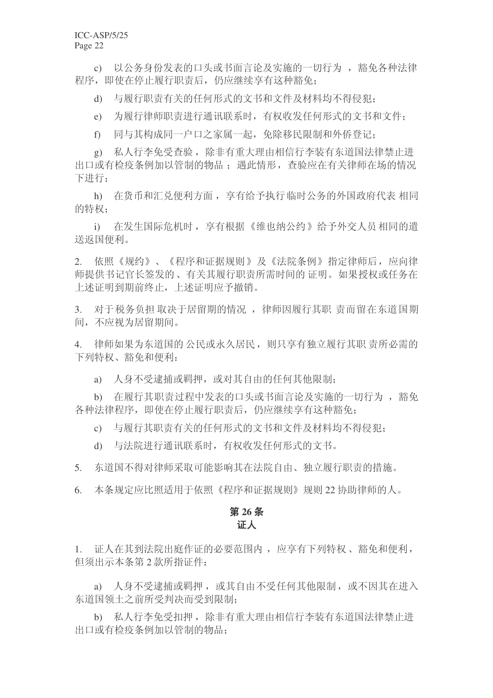c) 以公务身份发表的口头或书面言论及实施的一切行为, 豁免各种法律 程序, 即使在停止履行职责后, 仍应继续享有这种豁免:

d) 与履行职责有关的任何形式的文书和文件及材料均不得侵犯:

e) 为履行律师职责进行通讯联系时, 有权收发任何形式的文书和文件:

f) 同与其构成同一户口之家属一起, 免除移民限制和外侨登记:

g) 私人行李免受杳验, 除非有重大理由相信行李装有东道国法律禁止讲 出口或有检疫条例加以管制的物品: 遇此情形, 杳验应在有关律师在场的情况 下讲行:

h) 在货币和汇兑便利方面, 享有给予执行临时公务的外国政府代表 相同 的特权:

i) 在发生国际危机时, 享有根据《维也纳公约》给予外交人员相同的遣 送返国便利。

2. 依照《规约》、《程序和证据规则》及《法院条例》指定律师后, 应向律 师提供书记官长签发的、有关基履行职责所需时间的 证明。如果授权或任务在 上述证明到期前终止, 上述证明应予撤销。

3. 对于税务负担取决于居留期的情况, 律师因履行其职 责而留在东道国期 间,不应视为居留期间。

4. 律师如果为东道国的公民或永久居民,则只享有独立履行其职 责所必需的 下列特权、豁免和便利:

a) 人身不受逮捕或羁押, 或对其自由的任何其他限制:

b) 在履行其职责过程中发表的口头或书面言论及实施的一切行为, 豁免 各种法律程序, 即使在停止履行职责后, 仍应继续享有这种豁免:

c) 与履行其职责有关的任何形式的文书和文件及材料均不得侵犯:

d) 与法院进行通讯联系时, 有权收发任何形式的文书。

5. 东道国不得对律师采取可能影响其在法院自由、独立履行职责的措施。

6. 本条规定应比照适用于依照《程序和证据规则》规则 22 协助律师的人。

### 第26条 证人

1. 证人在其到法院出庭作证的必要范围内,应享有下列特权、豁免和便利, 但须出示本条第2款所指证件:

a) 人身不受逮捕或羁押, 或其自由不受任何其他限制, 或不因其在讲入 东道国领土之前所受判决而受到限制;

b) 私人行李免受扣押, 除非有重大理由相信行李装有东道国法律禁止讲 出口或有检疫条例加以管制的物品: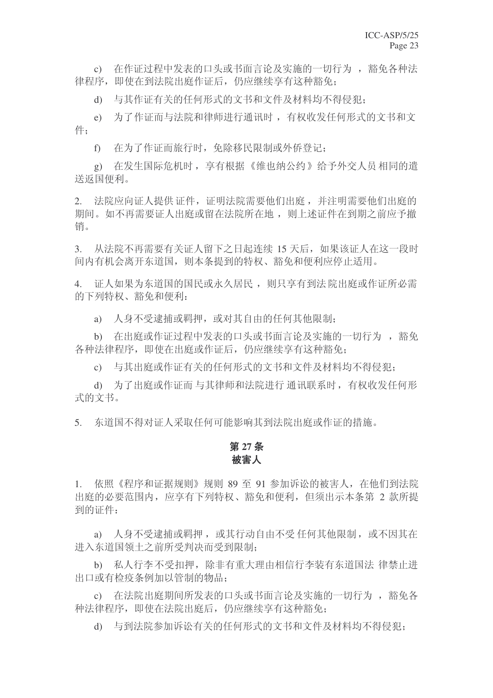c) 存作证过程中发表的口头或书面言论及实施的一切行为, 豁免各种法 律程序, 即使在到法院出庭作证后, 仍应继续享有这种豁免:

d) 与其作证有关的任何形式的文书和文件及材料均不得侵犯:

e) 为了作证而与法院和律师进行通讯时, 有权收发任何形式的文书和文 件:

f) 在为了作证而旅行时, 免除移民限制或外侨登记;

g) 在发生国际危机时, 享有根据《维也纳公约》给予外交人员相同的遣 送返国便利。

2. 法院应向证人提供证件, 证明法院需要他们出庭, 并注明需要他们出庭的 期间。如不再需要证人出庭或留在法院所在地,则上述证件在到期之前应予撤 销。

3. 从法院不再需要有关证人留下之日起连续 15 天后, 如果该证人在这一段时 间内有机会离开东道国, 则本条提到的特权、豁免和便利应停止适用。

4. 证人如果为东道国的国民或永久居民, 则只享有到法院出庭或作证所必需 的下列特权、豁免和便利:

a) 人身不受逮捕或羁押, 或对其自由的任何其他限制:

b) 在出庭或作证过程中发表的口头或书面言论及实施的一切行为, 豁免 各种法律程序, 即使在出庭或作证后, 仍应继续享有这种豁免:

c) 与其出庭或作证有关的任何形式的文书和文件及材料均不得侵犯:

d) 为了出庭或作证而 与其律师和法院进行 通讯联系时, 有权收发任何形 式的文书。

5. 东道国不得对证人采取任何可能影响其到法院出庭或作证的措施。

### 第27条 被害人

1. 依照《程序和证据规则》规则 89 至 91 参加诉讼的被害人, 在他们到法院 出庭的必要范围内, 应享有下列特权、豁免和便利, 但须出示本条第 2 款所提 到的证件:

a) 人身不受逮捕或羁押, 或其行动自由不受 任何其他限制, 或不因其在 进入东道国领土之前所受判决而受到限制;

b) 私人行李不受扣押,除非有重大理由相信行李装有东道国法 律禁止讲 出口或有检疫条例加以管制的物品:

c) 在法院出庭期间所发表的口头或书面言论及实施的一切行为, 豁免各 种法律程序, 即使在法院出庭后, 仍应继续享有这种豁免;

d) 与到法院参加诉讼有关的任何形式的文书和文件及材料均不得侵犯: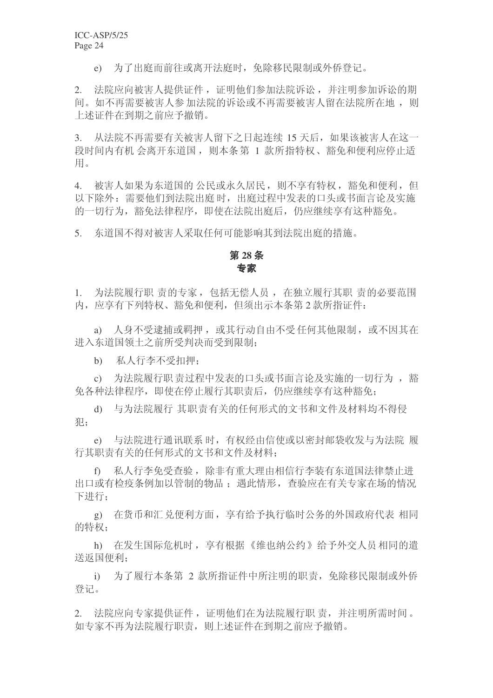e) 为了出庭而前往或离开法庭时, 免除移民限制或外侨登记。

2. 法院应向被害人提供证件, 证明他们参加法院诉讼, 并注明参加诉讼的期 间。如不再需要被害人参加法院的诉讼或不再需要被害人留在法院所在地, 则 上述证件在到期之前应予撤销。

3. 从法院不再需要有关被害人留下之日起连续 15 天后, 如果该被害人在这一 段时间内有机 会离开东道国, 则本条第 1 款所指特权、豁免和便利应停止适 用。

4. 被害人如果为东道国的公民或永久居民, 则不享有特权, 豁免和便利, 但 以下除外: 需要他们到法院出庭 时, 出庭过程中发表的口头或书面言论及实施 的一切行为, 豁免法律程序, 即使在法院出庭后, 仍应继续享有这种豁免。

5. 东道国不得对被害人采取任何可能影响其到法院出庭的措施。

### 第28条 も家

1. 为法院履行职 责的专家, 包括无偿人员, 在独立履行其职 责的必要范围 内, 应享有下列特权、豁免和便利, 但须出示本条第2款所指证件:

a) 人身不受逮捕或羁押, 或其行动自由不受任何其他限制, 或不因其在 进入东道国领土之前所受判决而受到限制:

b) 私人行李不受扣押:

c) 为法院履行职责过程中发表的口头或书面言论及实施的一切行为, 豁 免各种法律程序, 即使在停止履行其职责后, 仍应继续享有这种豁免;

d) 与为法院履行 其职责有关的任何形式的文书和文件及材料均不得侵 犯:

e) 与法院进行通讯联系时, 有权经由信使或以密封邮袋收发与为法院 履 行其职责有关的任何形式的文书和文件及材料:

f) 私人行李免受查验,除非有重大理由相信行李装有东道国法律禁止进 出口或有检疫条例加以管制的物品: 遇此情形, 杳验应在有关专家在场的情况 下进行:

g) 在货币和汇兑便利方面, 享有给予执行临时公务的外国政府代表 相同 的特权:

h) 在发生国际危机时, 享有根据《维也纳公约》给予外交人员相同的遣 送返国便利:

i) 为了履行本条第 2 款所指证件中所注明的职责, 免除移民限制或外侨 登记。

2. 法院应向专家提供证件, 证明他们在为法院履行职 责, 并注明所需时间。 如专家不再为法院履行职责, 则上述证件在到期之前应予撤销。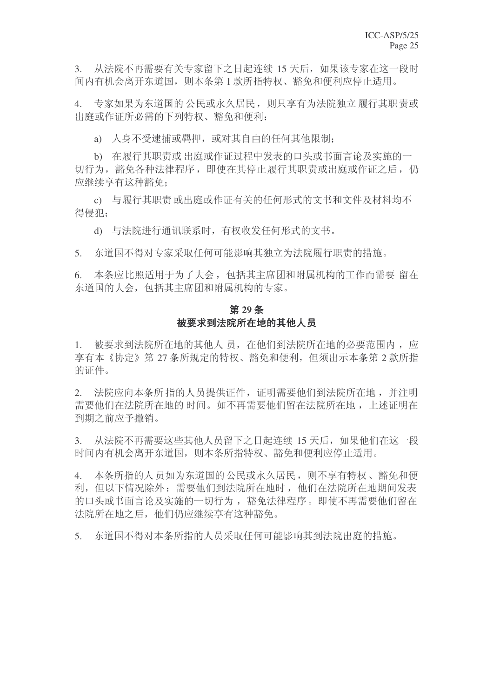3. 从法院不再需要有关专家留下之日起连续 15 天后, 如果该专家在这一段时 间内有机会离开东道国, 则本条第1款所指特权、豁免和便利应停止适用。

4. 专家如果为东道国的公民或永久居民,则只享有为法院独立履行其职责或 出庭或作证所必需的下列特权、豁免和便利:

a) 人身不受逮捕或羁押, 或对其自由的任何其他限制;

b) 在履行基职责或出庭或作证过程中发表的口头或书面言论及实施的一 切行为, 豁免各种法律程序, 即使在其停止履行其职责或出庭或作证之后, 仍 应继续享有这种豁免:

c) 与履行其职责或出庭或作证有关的任何形式的文书和文件及材料均不 得侵犯:

d) 与法院进行通讯联系时, 有权收发任何形式的文书。

5. 东道国不得对专家采取任何可能影响其独立为法院履行职责的措施。

6. 本条应比照适用于为了大会,包括其主席团和附属机构的工作而需要留在 东道国的大会, 包括其主席团和附属机构的专家。

### 第29条 被要求到法院所在地的其他人员

1. 被要求到法院所在地的基他人员, 在他们到法院所在地的必要范围内, 应 享有本《协定》第27 条所规定的特权、豁免和便利, 但须出示本条第 2 款所指 的证件。

2. 法院应向本条所指的人员提供证件, 证明需要他们到法院所在地, 并注明 需要他们在法院所在地的时间。如不再需要他们留在法院所在地,上述证明在 到期之前应予撤销。

3. 从法院不再需要这些其他人员留下之日起连续 15 天后, 如果他们在这一段 时间内有机会离开东道国,则本条所指特权、豁免和便利应停止适用。

4. 本条所指的人员如为东道国的公民或永久居民, 则不享有特权、豁免和便 利, 但以下情况除外: 需要他们到法院所在地时, 他们在法院所在地期间发表 的口头或书面言论及实施的一切行为, 豁免法律程序。即使不再需要他们留在 法院所在地之后, 他们仍应继续享有这种豁免。

5. 东道国不得对本条所指的人员采取任何可能影响其到法院出庭的措施。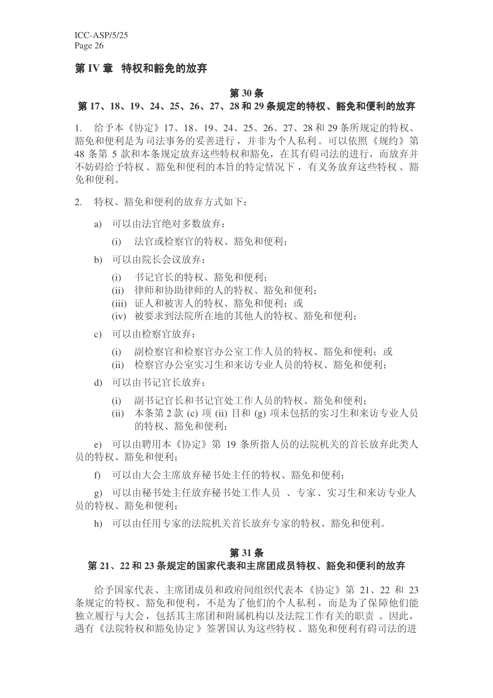### 第 IV 章 特权和豁免的放弃

#### 第 30 条

### **第17、18、19、24、25、26、27、28 和 29 条规定的特权、豁免和便利的放弃**

1. 给予本《协定》17、18、19、24、25、26、27、28 和 29 条所规定的特权、 豁免和便利是为司法事务的妥善进行,并非为个人私利。可以依照《规约》第 48 条第 5 款和本条规定放弃这些特权和豁免, 在其有碍司法的讲行, 而放弃并 不妨碍给予特权、豁免和便利的本旨的特定情况下, 有义务放弃这些特权、豁 免和便利。

- 2. 特权、豁免和便利的放弃方式如下:
	- a) 可以由法官绝对多数放弃:
		- (i) 法官或检察官的特权、豁免和便利:
	- b) 可以由院长会议放弃:
		- (i) 书记官长的特权、豁免和便利:
		- (ii) 律师和协助律师的人的特权、豁免和便利:
		- (iii) 证人和被害人的特权、豁免和便利: 或
		- (iv) 被要求到法院所在地的其他人的特权、豁免和便利:
	- c) 可以由检察官放弃:
		- (i) 副检察官和检察官办公室工作人员的特权、豁免和便利; 或
		- (ii) 检察官办公室实习生和来访专业人员的特权、豁免和便利;
	- d) 可以由书记官长放弃:
		- (i) 副书记官长和书记官处工作人员的特权、豁免和便利;
		- (ii) 本条第 2 款 (c) 项 (ii) 目和 (g) 项未包括的实习生和来访专业人员 的特权、豁免和便利:

e) 可以由聘用本《协定》第 19 条所指人员的法院机关的首长放弃此类人 员的特权、豁免和便利;

f) 可以由大会主席放弃秘书处主任的特权、豁免和便利:

g) 可以由秘书处主任放弃秘书处工作人员、专家、实习生和来访专业人 员的特权、豁免和便利:

h) 可以由任用专家的法院机关首长放弃专家的特权、豁免和便利。

### **31** ᴵ

### 第 21、22 和 23 条规定的国家代表和主席团成员特权、豁免和便利的放弃

给予国家代表、主席团成员和政府间组织代表本《协定》第 21、22 和 23 条规定的特权、豁免和便利,不是为了他们的个人私利,而是为了保障他们能 独立履行与大会, 包括其主席团和附属机构以及法院工作有关的职责。因此, 遇有《法院特权和豁免协定》签署国认为这些特权、豁免和便利有碍司法的进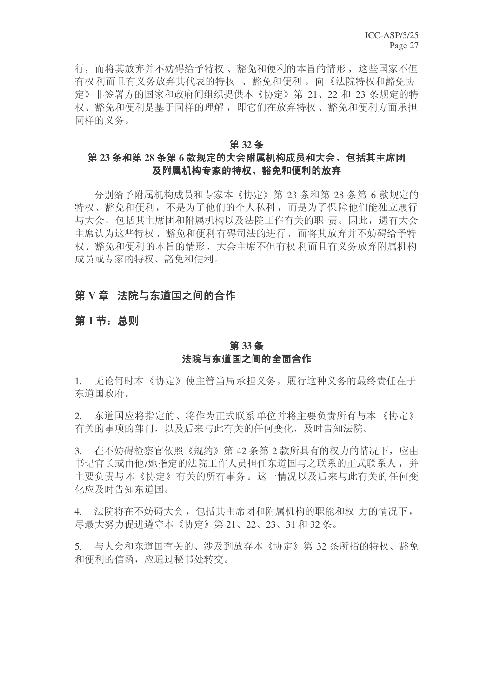行,而将其放弃并不妨碍给予特权、豁免和便利的本旨的情形,这些国家不但 有权利而且有义务放弃其代表的特权、豁免和便利。向《法院特权和豁免协 定》非签署方的国家和政府间组织提供本《协定》第 21、22 和 23 条规定的特 权、豁免和便利是基于同样的理解, 即它们在放弃特权、豁免和便利方面承担 同样的义务。

#### 第32条

### 第 23 条和第 28 条第 6 款规定的大会附属机构成员和大会, 包括其主席团 及附属机构专家的特权、豁免和便利的放弃

分别给予附属机构成员和专家本《协定》第23 条和第28 条第6款规定的 特权、豁免和便利,不是为了他们的个人私利,而是为了保障他们能独立履行 与大会, 包括其主席团和附属机构以及法院工作有关的职 责。因此, 遇有大会 主席认为这些特权、豁免和便利有碍司法的进行,而将其放弃并不妨碍给予特 权、豁免和便利的本旨的情形,大会主席不但有权利而且有义务放弃附属机构 成员或专家的特权、豁免和便利。

### 第V章 法院与东道国之间的合作

### 第1节: 总则

### **33** ᴵ 法院与东道国之间的全面合作

1. 无论何时本《协定》使主管当局承担义务,履行这种义务的最终责任在于 东道国政府。

2. 东道国应将指定的、将作为正式联系单位并将主要负责所有与本《协定》 有关的事项的部门,以及后来与此有关的任何变化,及时告知法院。

3. 在不妨碍检察官依照《规约》第42条第2款所具有的权力的情况下,应由 书记官长或由他/她指定的法院工作人员担任东道国与之联系的正式联系人,并 主要负责与本《协定》有关的所有事务。这一情况以及后来与此有关的任何变 化应及时告知东道国。

4. 法院将在不妨碍大会, 包括其主席团和附属机构的职能和权 力的情况下, 尽最大努力促进遵守本《协定》第 21、22、23、31 和 32 条。

5. 与大会和东道国有关的、涉及到放弃本《协定》第32条所指的特权、豁免 和便利的信函, 应通过秘书处转交。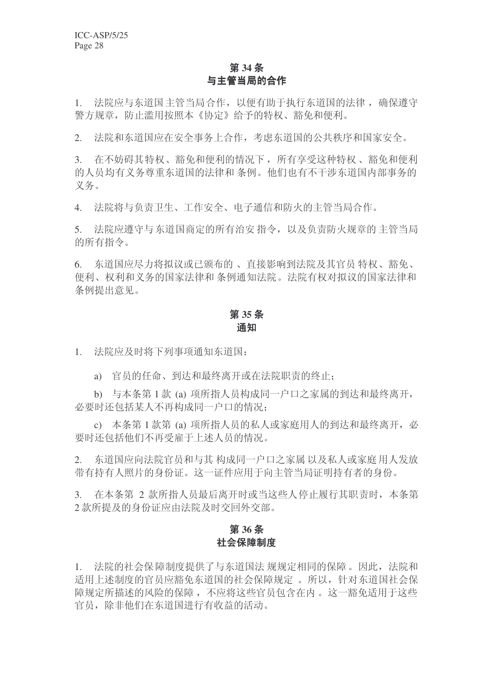### **第34条** 与主管当局的合作

1. 法院应与东道国主管当局合作,以便有助于执行东道国的法律,确保遵守 警方规章,防止滥用按照本《协定》给予的特权、豁免和便利。

2. 決院和东道国应在安全事务上合作,考虑东道国的公共秩序和国家安全。

3. 在不妨碍其特权、豁免和便利的情况下, 所有享受这种特权、豁免和便利 的人员均有义务尊重东道国的法律和条例。他们也有不干涉东道国内部事务的 义务。

4. 法院将与负责卫生、工作安全、电子通信和防火的主管当局合作。

5. 法院应遵守与东道国商定的所有治安指令,以及负责防火规章的主管当局 的所有指令。

6. 东道国应尽力将拟议或已颁布的、直接影响到法院及其官员特权、豁免、 便利、权利和义务的国家法律和条例通知法院。法院有权对拟议的国家法律和 条例提出意见。

### **35** ᴵ 诵知

1. 法院应及时将下列事项通知东道国:

a) 官员的任命、到达和最终离开或在法院职责的终止;

b) 与本条第1款 (a) 项所指人员构成同一户口之家属的到达和最终离开, 必要时还包括某人不再构成同一户口的情况:

c) 本条第1款第(a) 项所指人员的私人或家庭用人的到达和最终离开, 必 要时还包括他们不再受雇于上述人员的情况。

2. 东道国应向法院官员和与其构成同一户口之家属以及私人或家庭用人发放 带有持有人照片的身份证。这一证件应用于向主管当局证明持有者的身份。

3. 在本条第 2 款所指人员最后离开时或当这些人停止履行其职责时, 本条第 2 款所提及的身份证应由法院及时交回外交部。

### 第36条 社会保障制度

1. 法院的社会保障制度提供了与东道国法 规规定相同的保障。因此, 法院和 话用上述制度的官员应豁免东道国的社会保障规定。所以,针对东道国社会保 障规定所描述的风险的保障, 不应将这些官员包含在内。这一豁免适用于这些 官员, 除非他们在东道国讲行有收益的活动。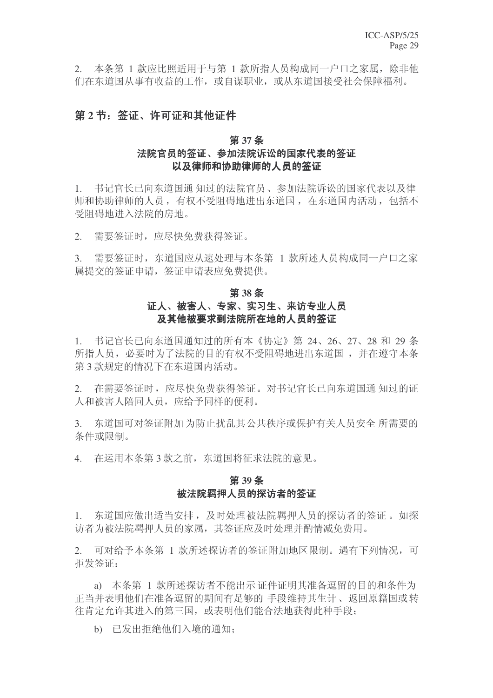2. 本条第 1 款应比照话用于与第 1 款所指人员构成同一户口之家属, 除非他 们在东道国从事有收益的工作, 或自谋职业, 或从东道国接受社会保障福利。

### 第2节: 签证、许可证和其他证件

### 第37条

### 法院官员的签证、参加法院诉讼的国家代表的签证 以及律师和协助律师的人员的签证

1. 书记官长已向东道国通 知过的法院官员、参加法院诉讼的国家代表以及律 师和协助律师的人员, 有权不受阻碍地进出东道国, 在东道国内活动, 包括不 受阻碍地讲入法院的房地。

2. 需要签证时,应尽快免费获得签证。

3. 需要签证时, 东道国应从速处理与本条第 1 款所述人员构成同一户口之家 属提交的签证申请, 签证申请表应免费提供。

### 第38条 证人、被害人、专家、实习生、来访专业人员 及其他被要求到法院所在地的人员的签证

1. 书记官长已向东道国通知过的所有本《协定》第 24、26、27、28 和 29 条 所指人员, 必要时为了法院的目的有权不受阳碍地进出东道国, 并在遵守本条 第3款规定的情况下在东道国内活动。

2. 在需要签证时, 应尽快免费获得签证。对书记官长已向东道国通知过的证 人和被害人陪同人员, 应给予同样的便利。

3. 东道国可对签证附加为防止扰乱其公共秩序或保护有关人员安全 所需要的 条件或限制。

4. 在运用本条第3款之前, 东道国将征求法院的意见。

### 第39条 被法院羁押人员的探访者的签证

1. 东道国应做出适当安排,及时处理被法院羁押人员的探访者的签证。如探 访者为被法院羁押人员的家属,其签证应及时处理并酌情减免费用。

2. 可对给予本条第 1 款所述探访者的签证附加地区限制。遇有下列情况, 可 拒发签证:

a) 本条第 1 款所述探访者不能出示 证件证明其准备逗留的目的和条件为 正当并表明他们在准备逗留的期间有足够的 手段维持其生计、返回原籍国或转 往肯定允许其进入的第三国, 或表明他们能合法地获得此种手段:

b) 已发出拒绝他们入境的通知;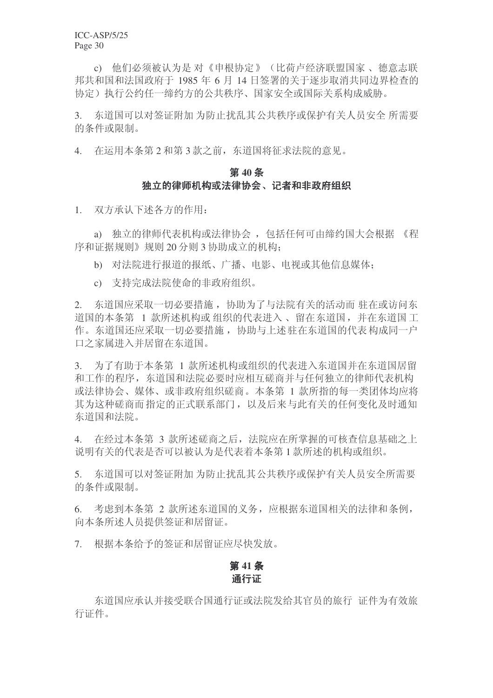c) 他们必须被认为是 对《申根协定》(比荷卢经济联盟国家 、德意志联 邦共和国和法国政府于 1985 年 6 月 14 日签署的关于逐步取消共同边界检查的 协定)执行公约任一缔约方的公共秩序、国家安全或国际关系构成威胁。

3. 东道国可以对签证附加为防止扰乱其公共秩序或保护有关人员安全所需要 的条件或限制。

4. 在运用本条第2和第3款之前, 东道国将征求法院的意见。

### 第40条 独立的律师机构或法律协会、记者和非政府组织

1. 双方承认下述各方的作用:

a) 独立的律师代表机构或法律协会, 包括任何可由缔约国大会根据 《程 序和证据规则》规则 20 分则 3 协助成立的机构:

- b) 对法院进行报道的报纸、广播、电影、电视或其他信息媒体:
- c) 支持完成法院使命的非政府组织。

2. 东道国应采取一切必要措施, 协助为了与法院有关的活动而 驻在或访问东 道国的本条第 1 款所述机构或 组织的代表讲入、留在东道国,并在东道国工 作。东道国还应采取一切必要措施, 协助与上述驻在东道国的代表构成同一户 口之家属讲入并居留在东道国。

3. 为了有助于本条第 1 款所述机构或组织的代表进入东道国并在东道国居留 和工作的程序, 东道国和法院必要时应相互磋商并与任何独立的律师代表机构 或法律协会、媒体、或非政府组织磋商。本条第 1 款所指的每一类团体均应将 其为这种磋商而指定的正式联系部门,以及后来与此有关的任何变化及时通知 东道国和法院。

4. 在经过本条第 3 款所述磋商之后, 法院应在所掌握的可核查信息基础之上 说明有关的代表是否可以被认为是代表着本条第1款所述的机构或组织。

5. 东道国可以对签证附加为防止扰乱其公共秩序或保护有关人员安全所需要 的条件或限制。

6. 考虑到本条第 2 款所述东道国的义务, 应根据东道国相关的法律和条例, 向本条所述人员提供签证和居留证。

7. 根据本条给予的签证和居留证应尽快发放。

### 第41条 诵行证

东道国应承认并接受联合国通行证或法院发给其官员的旅行 证件为有效旅 行证件。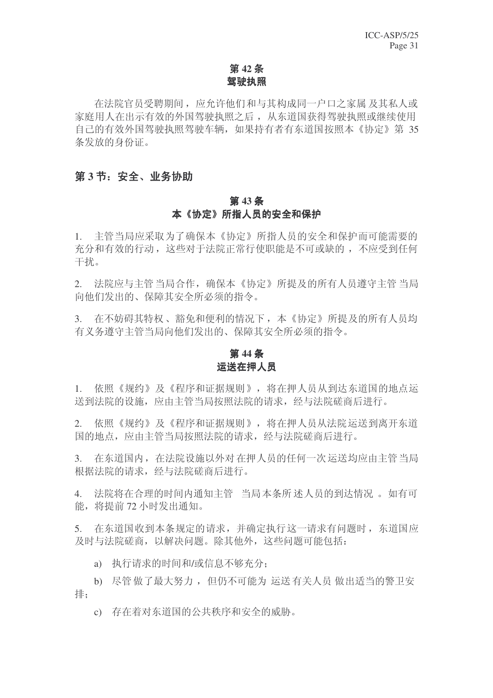### **第42条** 驾驶执照

在法院官员受聘期间, 应允许他们和与其构成同一户口之家属 及其私人或 家庭用人在出示有效的外国驾驶执照之后, 从东道国获得驾驶执照或继续使用 自己的有效外国驾驶执照驾驶车辆, 如果持有者有东道国按照本《协定》第35 条发放的身份证。

### 第3节: 安全、业务协助

### **第43条** 本《协定》所指人员的安全和保护

1. 主管当局应采取为了确保本《协定》所指人员的安全和保护而可能需要的 充分和有效的行动, 这些对于法院正常行使职能是不可或缺的, 不应受到任何 干扰。

2. 法院应与主管当局合作,确保本《协定》所提及的所有人员遵守主管当局 向他们发出的、保障其安全所必须的指令。

3. 在不妨碍其特权、豁免和便利的情况下, 本《协定》所提及的所有人员均 有义务遵守主管当局向他们发出的、保障其安全所必须的指令。

### **第44条** 运送在押人员

1. 依照《规约》及《程序和证据规则》,将在押人员从到达东道国的地点运 送到法院的设施, 应由主管当局按照法院的请求, 经与法院磋商后进行。

2. 依照《规约》及《程序和证据规则》, 将在押人员从法院运送到离开东道 国的地点, 应由主管当局按照法院的请求, 经与法院磋商后讲行。

3. 在东道国内, 在法院设施以外对在押人员的任何一次运送均应由主管当局 根据法院的请求, 经与法院磋商后讲行。

4. 法院将在合理的时间内通知主管 当局本条所述人员的到达情况。如有可 能, 将提前 72 小时发出通知。

5. 在东道国收到本条规定的请求,并确定执行这一请求有问题时,东道国应 及时与法院磋商,以解决问题。除其他外,这些问题可能包括:

a) 执行请求的时间和/或信息不够充分:

b) 尽管做了最大努力, 但仍不可能为 运送有关人员 做出适当的警卫安 排:

c) 存在着对东道国的公共秩序和安全的威胁。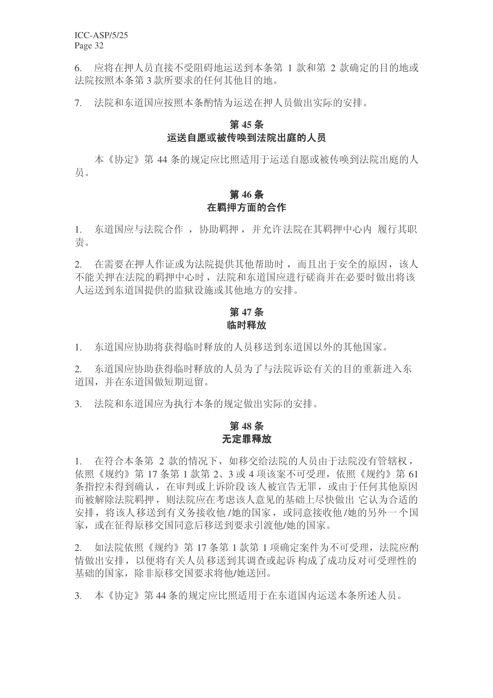6. 应将在押人员直接不受阻碍地运送到本条第 1 款和第 2 款确定的目的地或 法院按照本条第3款所要求的任何其他目的地。

7. 法院和东道国应按照本条酌情为运送在押人员做出实际的安排。

### 第45条

### 运送自愿或被传唤到法院出庭的人员

本《协定》第44 条的规定应比照适用于运送自愿或被传唤到法院出庭的人 品。

### 第46条 在羁押方面的合作

1. 东道国应与法院合作, 协助羁押, 并允许法院在其羁押中心内 履行其职 责。

2. 在需要在押人作证或为法院提供其他帮助时,而且出于安全的原因,该人 不能关押在法院的羁押中心时, 法院和东道国应进行磋商并在必要时做出将该 人运送到东道国提供的监狱设施或其他地方的安排。

### 第47条 临时释放

1. 东道国应协助将获得临时释放的人员移送到东道国以外的其他国家。

2. 东道国应协助获得临时释放的人员为了与法院诉讼有关的目的重新进入东 道国,并在东道国做短期逗留。

3. 法院和东道国应为执行本条的规定做出实际的安排。

### **48** ᴵ 无定罪释放

1. 在符合本条第 2 款的情况下, 如移交给法院的人员由于法院没有管辖权, 依照《规约》第17 条第1款第2、3或4项该案不可受理,依照《规约》第61 条指控未得到确认, 在审判或上诉阶段 该人被宣告无罪, 或由于任何其他原因 而被解除法院羁押, 则法院应在考虑该人意见的基础上尽快做出 它认为合适的 安排, 将该人移送到有义务接收他/她的国家, 或同意接收他/她的另外一个国 家, 或在征得原移交国同意后移送到要求引渡他/她的国家。

2. 如法院依照《规约》第17条第1款第1项确定案件为不可受理,法院应酌 情做出安排, 以便将有关人员移送到其调查或起诉构成了成功反对可受理性的 基础的国家, 除非原移交国要求将他/她送回。

3. 本《协定》第44条的规定应比照适用于在东道国内运送本条所述人员。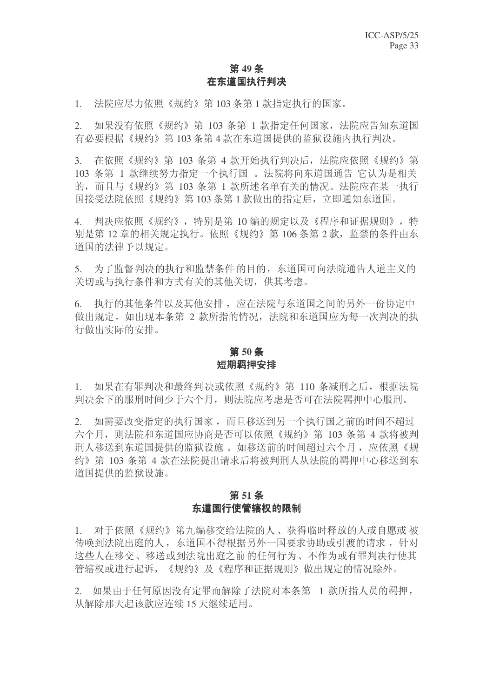### 第49条 在东道国执行判决

1. 法院应尽力依照《规约》第103条第1款指定执行的国家。

2. 如果没有依照《规约》第 103 条第 1 款指定任何国家, 法院应告知东道国 有必要根据《规约》第103 条第 4 款在东道国提供的监狱设施内执行判决。

3. 在依照《规约》第 103 条第 4 款开始执行判决后, 法院应依照《规约》第 103 条第 1 款继续努力指定一个执行国 。法院将向东道国通告 它认为是相关 的,而且与《规约》第103 条第 1 款所述名单有关的情况。法院应在某一执行 国接受法院依照《规约》第103 条第1款做出的指定后,立即通知东道国。

4. 判决应依照《规约》,特别是第 10 编的规定以及《程序和证据规则》,特 别是第12 章的相关规定执行。依照《规约》第106 条第 2 款, 监禁的条件由东 道国的法律予以规定。

5. 为了监督判决的执行和监禁条件的目的, 东道国可向法院通告人道主义的 关切或与执行条件和方式有关的其他关切,供其考虑。

6. 执行的其他条件以及其他安排, 应在法院与东道国之间的另外一份协定中 做出规定。如出现本条第 2 款所指的情况, 法院和东道国应为每一次判决的执 行做出实际的安排。

### 第50条 短期羁押安排

1. 如果在有罪判决和最终判决或依照《规约》第 110 条减刑之后, 根据法院 判决余下的服刑时间少于六个月, 则法院应考虑是否可在法院羁押中心服刑。

2. 如需要改变指定的执行国家,而且移送到另一个执行国之前的时间不超过 六个月, 则法院和东道国应协商是否可以依照《规约》第 103 条第 4 款将被判 刑人移送到东道国提供的监狱设施。如移送前的时间超过六个月, 应依照《规 约》第103 条第 4 款在法院提出请求后将被判刑人从法院的羁押中心移送到东 道国提供的监狱设施。

### 第51条 东道国行使管辖权的限制

1. 对于依照《规约》第九编移交给法院的人、获得临时释放的人或自愿或被 传唤到法院出庭的人, 东道国不得根据另外一国要求协助或引渡的请求, 针对 这些人在移交、移送或到法院出庭之前的任何行为、不作为或有罪判决行使其 管辖权或进行起诉, 《规约》及《程序和证据规则》做出规定的情况除外。

2. 如果由于任何原因没有定罪而解除了法院对本条第 1 款所指人员的羁押, 从解除那天起该款应连续 15 天继续活用。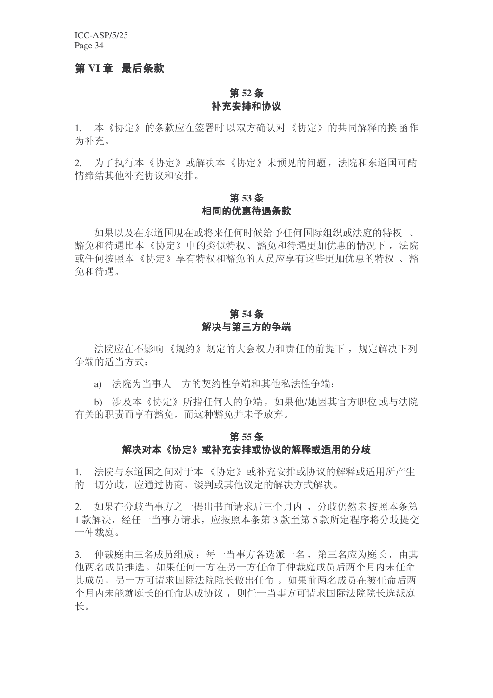ICC-ASP/5/25 Page 34

### 第 VI 章 最后条款

### 第 52 条 补充安排和协议

1. 本《协定》的条款应在签署时 以双方确认对 《协定》的共同解释的换 函作 为补充。

2. 为了执行本《协定》或解决本《协定》未预见的问题, 法院和东道国可酌 情缔结其他补充协议和安排。

### **53** ᴵ 相同的优惠待遇条款

如果以及在东道国现在或将来任何时候给予任何国际组织或法庭的特权。 豁免和待遇比本《协定》中的类似特权、豁免和待遇更加优惠的情况下, 法院 或仟何按照本《协定》享有特权和豁免的人员应享有这些更加优惠的特权、豁 免和待遇。

### 第54条 解决与第三方的争端

法院应在不影响《规约》规定的大会权力和责任的前提下, 规定解决下列 争端的话当方式:

a) 法院为当事人一方的契约性争端和其他私法性争端;

b) 涉及本《协定》所指任何人的争端, 如果他/她因其官方职位或与法院 有关的职责而享有豁免,而这种豁免并未予放弃。

### 第55条 解决对本《协定》或补充安排或协议的解释或话用的分歧

1. 法院与东道国之间对于本《协定》或补充安排或协议的解释或适用所产生 的一切分歧, 应通过协商、谈判或其他议定的解决方式解决。

2. 如果在分歧当事方之一提出书面请求后三个月内, 分歧仍然未按照本条第 1 款解决, 经任一当事方请求, 应按照本条第3款至第5款所定程序将分歧提交 一仲裁庭。

3. 仲裁庭由三名成员组成: 每一当事方各选派一名, 第三名应为庭长, 由其 他两名成员推选。如果任何一方在另一方任命了仲裁庭成员后两个月内未任命 其成员,另一方可请求国际法院院长做出任命。如果前两名成员在被任命后两 个月内未能就庭长的任命达成协议, 则任一当事方可请求国际法院院长选派庭 长。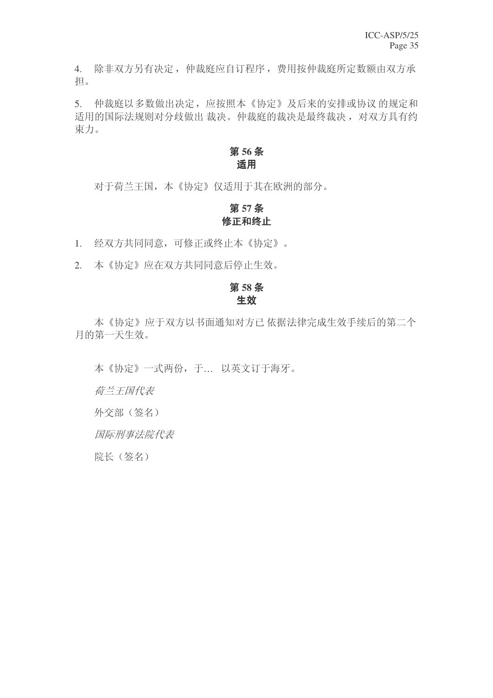4. 除非双方另有决定, 仲裁庭应自订程序, 费用按仲裁庭所定数额由双方承 相。

5. 仲裁庭以多数做出决定,应按照本《协定》及后来的安排或协议的规定和 适用的国际法规则对分歧做出 裁决。仲裁庭的裁决是最终裁决, 对双方具有约 束力。

### 第56条 适用

对于荷兰王国,本《协定》仅适用于其在欧洲的部分。

### 第57条 修正和终止

1. 经双方共同同意,可修正或终止本《协定》。

2. 本《协定》应在双方共同同意后停止生效。

### **58** ᴵ 生效

本《协定》应于双方以书面通知对方已依据法律完成生效手续后的第二个 月的第一天生效。

本《协定》一式两份,于... 以英文订于海牙。

荷兰王国代表

外交部(签名)

国际刑事法院代表

院长(签名)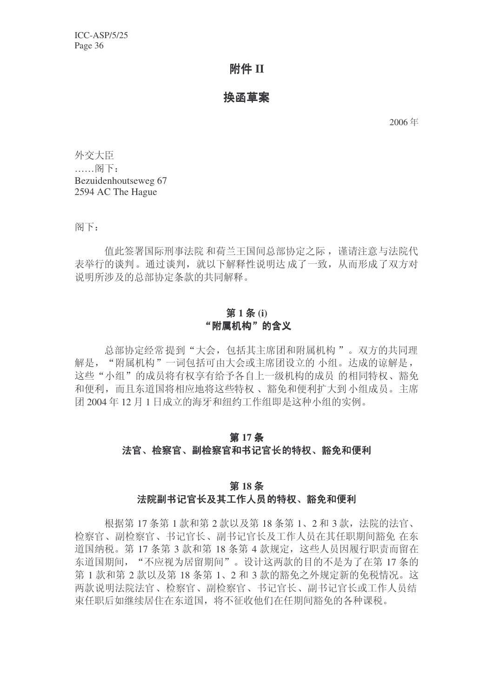### 附件 **II**

### 换函草案

2006 ᑈ

外交大臣  $\ldots$ . 阁下: Bezuidenhoutseweg 67 2594 AC The Hague

阁下:

值此签署国际刑事法院 和荷兰王国间总部协定之际, 谨请注意与法院代 表举行的谈判。通过谈判, 就以下解释性说明达成了一致, 从而形成了双方对 说明所涉及的总部协定条款的共同解释。

### 第1条(i) "附属机构"的含义

总部协定经常提到"大会, 包括其主席团和附属机构"。双方的共同理 解是, "附属机构"一词包括可由大会或主席团设立的 小组。达成的谅解是, 这些"小组"的成员将有权享有给予各自上一级机构的成员 的相同特权、豁免 和便利,而且东道国将相应地将这些特权、豁免和便利扩大到小组成员。主席 团 2004年12月1日成立的海牙和纽约工作组即是这种小组的实例。

### 第17条 法官、检察官、副检察官和书记官长的特权、豁免和便利

#### 第18条

### 法院副书记官长及其工作人员的特权、豁免和便利

根据第 17 条第 1 款和第 2 款以及第 18 条第 1、2 和 3 款, 法院的法官、 检察官、副检察官、书记官长、副书记官长及工作人员在其任职期间豁免 在东 道国纳税。第17 条第 3 款和第 18 条第 4 款规定, 这些人员因履行职责而留在 东道国期间, "不应视为居留期间"。设计这两款的目的不是为了在第17条的 第1款和第2款以及第18条第1、2和3款的豁免之外规定新的免税情况。这 两款说明法院法官、检察官、副检察官、书记官长、副书记官长或工作人员结 束任职后如继续居住在东道国, 将不征收他们在任期间豁免的各种课税。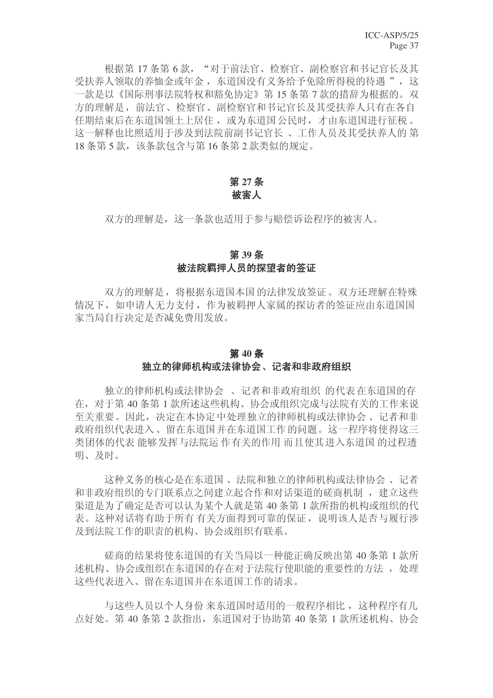根据第17条第6款, "对于前法官、检察官、副检察官和书记官长及其 受扶养人领取的养恤金或年金, 东道国没有义务给予免除所得税的待遇", 这 一款是以《国际刑事法院特权和豁免协定》第15 条第 7 款的措辞为根据的。双 方的理解是,前法官、检察官、副检察官和书记官长及其受扶养人只有在各自 任期结束后在东道国领土上居住, 或为东道国公民时, 才由东道国进行征税。 这一解释也比照适用于涉及到法院前副书记官长、工作人员及其受扶养人的第 18 条第5款, 该条款包含与第 16 条第 2 款类似的规定。

### 第 27 条 被害人

双方的理解是, 这一条款也适用于参与赔偿诉讼程序的被害人。

### 第39条 被法院羁押人员的探望者的签证

双方的理解是, 将根据东道国本国的法律发放签证。双方还理解在特殊 情况下, 如申请人无力支付, 作为被羁押人家属的探访者的签证应由东道国国 家当局自行决定是否减免费用发放。

#### 第40条

### 独立的律师机构或法律协会、记者和非政府组织

独立的律师机构或法律协会、记者和非政府组织 的代表在东道国的存 在, 对于第40条第1款所述这些机构、协会或组织完成与法院有关的工作来说 至关重要。因此,决定在本协定中处理独立的律师机构或法律协会、记者和非 政府组织代表进入、留在东道国并在东道国工作的问题。这一程序将使得这三 类团体的代表 能够发挥与法院运作有关的作用 而且使其进入东道国 的过程透 明、及时。

这种义务的核心是在东道国、法院和独立的律师机构或法律协会、记者 和非政府组织的专门联系点之间建立起合作和对话渠道的磋商机制, 建立这些 渠道是为了确定是否可以认为某个人就是第40条第1款所指的机构或组织的代 表。这种对话将有助于所有 有关方面得到可靠的保证, 说明该人是否与履行涉 及到法院工作的职责的机构、协会或组织有联系。

磋商的结果将使东道国的有关当局以一种能正确反映出第40 条第 1 款所 述机构、协会或组织在东道国的存在对于法院行使职能的重要性的方法, 处理 这些代表讲入、留在东道国并在东道国工作的请求。

与这些人员以个人身份来东道国时适用的一般程序相比,这种程序有几 点好处。第40条第2款指出,东道国对于协助第40条第1款所述机构、协会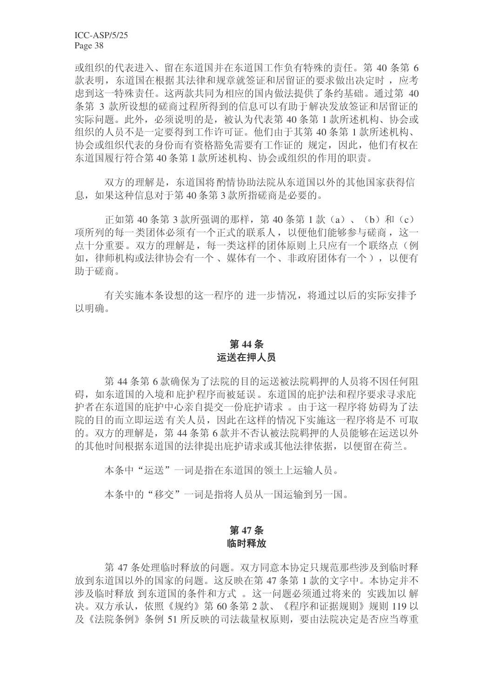ICC-ASP/5/25 Page 38

或组织的代表进入、留在东道国并在东道国工作负有特殊的责任。第40条第6 款表明, 东道国在根据其法律和规章就签证和居留证的要求做出决定时, 应考 虑到这一特殊责任。这两款共同为相应的国内做法提供了条约基础。通过第 40 条第 3 款所设想的磋商过程所得到的信息可以有助于解决发放签证和居留证的 实际问题。此外, 必须说明的是, 被认为代表第 40 条第 1 款所述机构、协会或 组织的人员不是一定要得到工作许可证。他们由于其第40条第1款所述机构、 协会或组织代表的身份而有资格豁免需要有工作证的 规定, 因此, 他们有权在 东道国履行符合第40条第1款所述机构、协会或组织的作用的职责。

双方的理解是, 东道国将酌情协助法院从东道国以外的其他国家获得信 息, 如果这种信息对于第40条第3款所指磋商是必要的。

正如第 40 条第 3 款所强调的那样, 第 40 条第 1 款 (a)、(b) 和 (c) 项所列的每一类团体必须有一个正式的联系人,以便他们能够参与磋商,这一 点十分重要。双方的理解是,每一类这样的团体原则上只应有一个联络点(例 如, 律师机构或法律协会有一个、媒体有一个、非政府团体有一个), 以便有 助于磋商。

有关实施本条设想的这一程序的 讲一步情况, 将通过以后的实际安排予 以明确。

### 第44条 运送在押人员

第44 条第6款确保为了法院的目的运送被法院羁押的人员将不因任何阻 碍, 如东道国的入境和庇护程序而被延误。东道国的庇护法和程序要求寻求庇 护者在东道国的庇护中心亲自提交一份庇护请求。由于这一程序将妨碍为了法 院的目的而立即运送 有关人员, 因此在这样的情况下实施这一程序将是不可取 的。双方的理解是, 第44 条第 6 款并不否认被法院羁押的人员能够在运送以外 的其他时间根据东道国的法律提出庇护请求或其他法律依据,以便留在荷兰。

本条中"运送"一词是指在东道国的领土上运输人员。

本条中的"移交"一词是指将人员从一国运输到另一国。

### 第47条 临时释放

第47 条处理临时释放的问题。双方同意本协定只规范那些涉及到临时释 放到东道国以外的国家的问题。这反映在第47条第1款的文字中。本协定并不 涉及临时释放 到东道国的条件和方式。这一问题必须通过将来的 实践加以解 决。双方承认,依照《规约》第60条第2款、《程序和证据规则》规则 119 以 及《法院条例》条例 51 所反映的司法裁量权原则, 要由法院决定是否应当尊重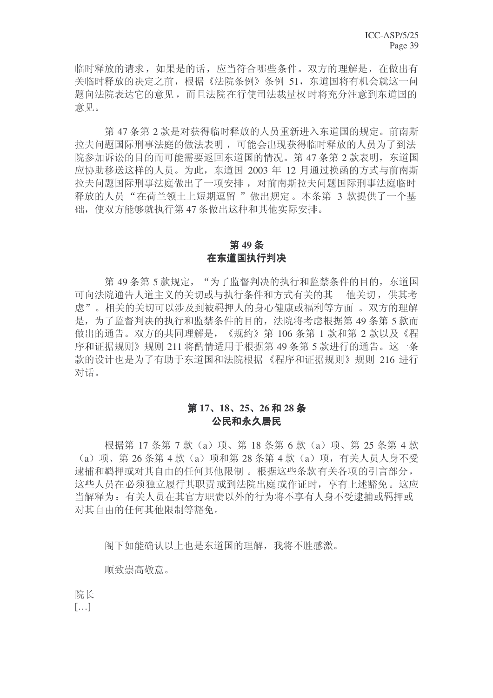临时释放的请求, 如果是的话, 应当符合哪些条件。双方的理解是, 在做出有 关临时释放的决定之前,根据《法院条例》条例 51, 东道国将有机会就这一问 题向法院表达它的意见,而且法院在行使司法裁量权时将充分注意到东道国的 意见。

第47 条第2款是对获得临时释放的人员重新进入东道国的规定。前南斯 拉夫问题国际刑事法庭的做法表明,可能会出现获得临时释放的人员为了到法 院参加诉讼的目的而可能需要返回东道国的情况。第47条第2款表明,东道国 应协助移送这样的人员。为此, 东道国 2003 年 12 月通过换函的方式与前南斯 拉夫问题国际刑事法庭做出了一项安排, 对前南斯拉夫问题国际刑事法庭临时 释放的人员"在荷兰领土上短期逗留"做出规定。本条第 3 款提供了一个基 础, 使双方能够就执行第47条做出这种和其他实际安排。

### 第49条 在东道国执行判决

第49条第5款规定, "为了监督判决的执行和监禁条件的目的, 东道国 可向法院通告人道主义的关切或与执行条件和方式有关的其 他关切, 供其考 虑"。相关的关切可以涉及到被羁押人的身心健康或福利等方面。双方的理解 是, 为了监督判决的执行和监禁条件的目的, 法院将考虑根据第 49 条第 5 款而 做出的通告。双方的共同理解是,《规约》第106条第1款和第2款以及《程 序和证据规则》规则 211 将酌情适用于根据第 49 条第 5 款进行的通告。这一条 款的设计也是为了有助于东道国和法院根据《程序和证据规则》规则 216 讲行 对话。

### **17**ǃ**18**ǃ**25**ǃ**26 28** ᴵ 公民和永久居民

根据第 17 条第 7 款 (a) 项、第 18 条第 6 款 (a) 项、第 25 条第 4 款  $(a)$  项、第 26 条第 4 款  $(a)$  项和第 28 条第 4 款  $(a)$  项, 有关人员人身不受 逮捕和羁押或对其自由的任何其他限制。 根据这些条款 有关各项的引言部分, 这些人员在必须独立履行其职责或到法院出庭或作证时, 享有上述豁免。这应 当解释为: 有关人员在其官方职责以外的行为将不享有人身不受逮捕或羁押或 对其自由的任何其他限制等豁免。

阁下如能确认以上也是东道国的理解,我将不胜感激。

顺致崇高敬意。

院长  $[...]$